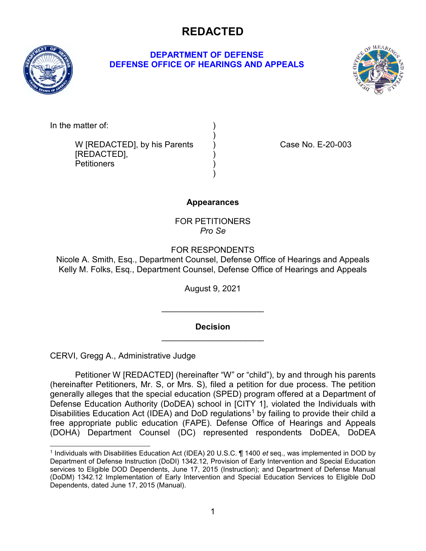

### **DEPARTMENT OF DEFENSE DEFENSE OFFICE OF HEARINGS AND APPEALS**



In the matter of:

W [REDACTED], by his Parents ) Case No. E-20-003 [REDACTED], Petitioners )

### **Appearances**

)

)

FOR PETITIONERS *Pro Se*

FOR RESPONDENTS

Nicole A. Smith, Esq., Department Counsel, Defense Office of Hearings and Appeals Kelly M. Folks, Esq., Department Counsel, Defense Office of Hearings and Appeals

August 9, 2021

**Decision** \_\_\_\_\_\_\_\_\_\_\_\_\_\_\_\_\_\_\_\_\_\_

\_\_\_\_\_\_\_\_\_\_\_\_\_\_\_\_\_\_\_\_\_\_

CERVI, Gregg A., Administrative Judge

Petitioner W [REDACTED] (hereinafter "W" or "child"), by and through his parents (hereinafter Petitioners, Mr. S, or Mrs. S), filed a petition for due process. The petition generally alleges that the special education (SPED) program offered at a Department of Defense Education Authority (DoDEA) school in [CITY 1], violated the Individuals with Disabilities Education Act (IDEA) and DoD regulations<sup>[1](#page-0-0)</sup> by failing to provide their child a free appropriate public education (FAPE). Defense Office of Hearings and Appeals (DOHA) Department Counsel (DC) represented respondents DoDEA, DoDEA

<span id="page-0-0"></span> <sup>1</sup> Individuals with Disabilities Education Act (IDEA) 20 U.S.C. ¶ 1400 *et* seq., was implemented in DOD by Department of Defense Instruction (DoDI) 1342.12, Provision of Early Intervention and Special Education services to Eligible DOD Dependents, June 17, 2015 (Instruction); and Department of Defense Manual (DoDM) 1342.12 Implementation of Early Intervention and Special Education Services to Eligible DoD Dependents, dated June 17, 2015 (Manual).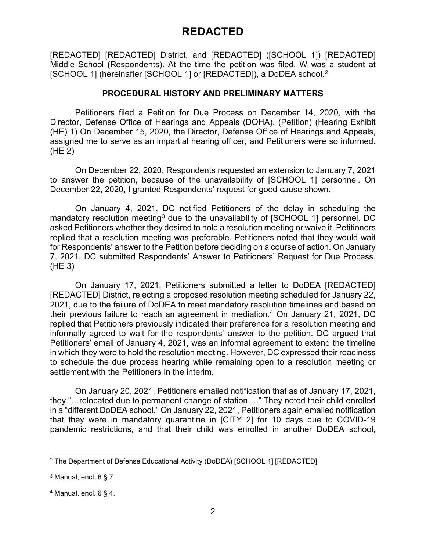[REDACTED] [REDACTED] District, and [REDACTED] ([SCHOOL 1]) [REDACTED] Middle School (Respondents). At the time the petition was filed, W was a student at [SCHOOL 1] (hereinafter [SCHOOL 1] or [REDACTED]), a DoDEA school. [2](#page-1-0)

#### **PROCEDURAL HISTORY AND PRELIMINARY MATTERS**

Petitioners filed a Petition for Due Process on December 14, 2020, with the Director, Defense Office of Hearings and Appeals (DOHA). (Petition) (Hearing Exhibit (HE) 1) On December 15, 2020, the Director, Defense Office of Hearings and Appeals, assigned me to serve as an impartial hearing officer, and Petitioners were so informed. (HE 2)

On December 22, 2020, Respondents requested an extension to January 7, 2021 to answer the petition, because of the unavailability of [SCHOOL 1] personnel. On December 22, 2020, I granted Respondents' request for good cause shown.

On January 4, 2021, DC notified Petitioners of the delay in scheduling the mandatory resolution meeting<sup>[3](#page-1-1)</sup> due to the unavailability of [SCHOOL 1] personnel. DC asked Petitioners whether they desired to hold a resolution meeting or waive it. Petitioners replied that a resolution meeting was preferable. Petitioners noted that they would wait for Respondents' answer to the Petition before deciding on a course of action. On January 7, 2021, DC submitted Respondents' Answer to Petitioners' Request for Due Process. (HE 3)

On January 17, 2021, Petitioners submitted a letter to DoDEA [REDACTED] [REDACTED] District, rejecting a proposed resolution meeting scheduled for January 22, 2021, due to the failure of DoDEA to meet mandatory resolution timelines and based on their previous failure to reach an agreement in mediation[.4](#page-1-2) On January 21, 2021, DC replied that Petitioners previously indicated their preference for a resolution meeting and informally agreed to wait for the respondents' answer to the petition. DC argued that Petitioners' email of January 4, 2021, was an informal agreement to extend the timeline in which they were to hold the resolution meeting. However, DC expressed their readiness to schedule the due process hearing while remaining open to a resolution meeting or settlement with the Petitioners in the interim.

On January 20, 2021, Petitioners emailed notification that as of January 17, 2021, they "…relocated due to permanent change of station…." They noted their child enrolled in a "different DoDEA school." On January 22, 2021, Petitioners again emailed notification that they were in mandatory quarantine in [CITY 2] for 10 days due to COVID-19 pandemic restrictions, and that their child was enrolled in another DoDEA school,

<span id="page-1-0"></span> <sup>2</sup> The Department of Defense Educational Activity (DoDEA) [SCHOOL 1] [REDACTED]

<span id="page-1-1"></span> $3$  Manual, encl. 6 § 7.

<span id="page-1-2"></span> $4$  Manual, encl. 6 § 4.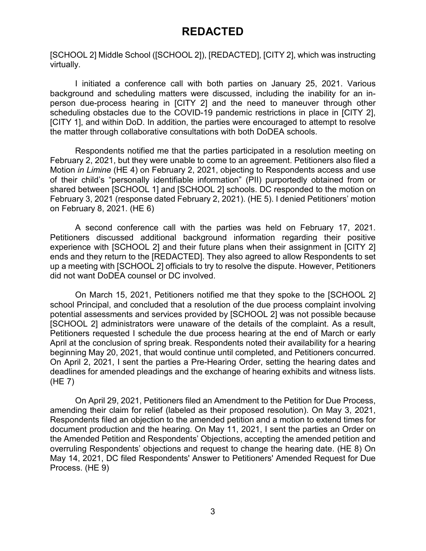[SCHOOL 2] Middle School ([SCHOOL 2]), [REDACTED], [CITY 2], which was instructing virtually.

I initiated a conference call with both parties on January 25, 2021. Various background and scheduling matters were discussed, including the inability for an inperson due-process hearing in [CITY 2] and the need to maneuver through other scheduling obstacles due to the COVID-19 pandemic restrictions in place in [CITY 2], [CITY 1], and within DoD. In addition, the parties were encouraged to attempt to resolve the matter through collaborative consultations with both DoDEA schools.

Respondents notified me that the parties participated in a resolution meeting on February 2, 2021, but they were unable to come to an agreement. Petitioners also filed a Motion *in Limine* (HE 4) on February 2, 2021, objecting to Respondents access and use of their child's "personally identifiable information" (PII) purportedly obtained from or shared between [SCHOOL 1] and [SCHOOL 2] schools. DC responded to the motion on February 3, 2021 (response dated February 2, 2021). (HE 5). I denied Petitioners' motion on February 8, 2021. (HE 6)

A second conference call with the parties was held on February 17, 2021. Petitioners discussed additional background information regarding their positive experience with [SCHOOL 2] and their future plans when their assignment in [CITY 2] ends and they return to the [REDACTED]. They also agreed to allow Respondents to set up a meeting with [SCHOOL 2] officials to try to resolve the dispute. However, Petitioners did not want DoDEA counsel or DC involved.

On March 15, 2021, Petitioners notified me that they spoke to the [SCHOOL 2] school Principal, and concluded that a resolution of the due process complaint involving potential assessments and services provided by [SCHOOL 2] was not possible because [SCHOOL 2] administrators were unaware of the details of the complaint. As a result, Petitioners requested I schedule the due process hearing at the end of March or early April at the conclusion of spring break. Respondents noted their availability for a hearing beginning May 20, 2021, that would continue until completed, and Petitioners concurred. On April 2, 2021, I sent the parties a Pre-Hearing Order, setting the hearing dates and deadlines for amended pleadings and the exchange of hearing exhibits and witness lists. (HE 7)

On April 29, 2021, Petitioners filed an Amendment to the Petition for Due Process, amending their claim for relief (labeled as their proposed resolution). On May 3, 2021, Respondents filed an objection to the amended petition and a motion to extend times for document production and the hearing. On May 11, 2021, I sent the parties an Order on the Amended Petition and Respondents' Objections, accepting the amended petition and overruling Respondents' objections and request to change the hearing date. (HE 8) On May 14, 2021, DC filed Respondents' Answer to Petitioners' Amended Request for Due Process. (HE 9)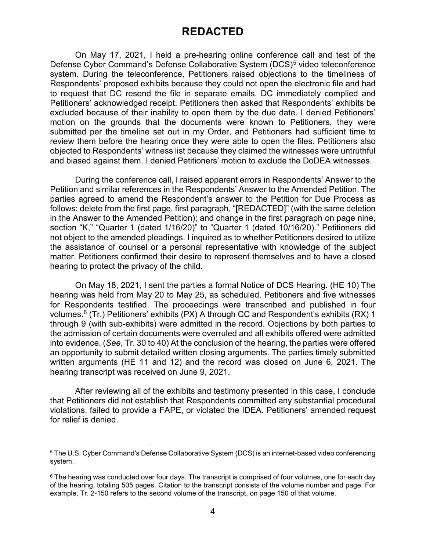On May 17, 2021, I held a pre-hearing online conference call and test of the Defense Cyber Command's Defense Collaborative System (DCS)<sup>[5](#page-3-0)</sup> video teleconference system. During the teleconference, Petitioners raised objections to the timeliness of Respondents' proposed exhibits because they could not open the electronic file and had to request that DC resend the file in separate emails. DC immediately complied and Petitioners' acknowledged receipt. Petitioners then asked that Respondents' exhibits be excluded because of their inability to open them by the due date. I denied Petitioners' motion on the grounds that the documents were known to Petitioners, they were submitted per the timeline set out in my Order, and Petitioners had sufficient time to review them before the hearing once they were able to open the files. Petitioners also objected to Respondents' witness list because they claimed the witnesses were untruthful and biased against them. I denied Petitioners' motion to exclude the DoDEA witnesses.

During the conference call, I raised apparent errors in Respondents' Answer to the Petition and similar references in the Respondents' Answer to the Amended Petition. The parties agreed to amend the Respondent's answer to the Petition for Due Process as follows: delete from the first page, first paragraph, "[REDACTED]" (with the same deletion in the Answer to the Amended Petition); and change in the first paragraph on page nine, section "K," "Quarter 1 (dated 1/16/20)" to "Quarter 1 (dated 10/16/20)." Petitioners did not object to the amended pleadings. I inquired as to whether Petitioners desired to utilize the assistance of counsel or a personal representative with knowledge of the subject matter. Petitioners confirmed their desire to represent themselves and to have a closed hearing to protect the privacy of the child.

On May 18, 2021, I sent the parties a formal Notice of DCS Hearing. (HE 10) The hearing was held from May 20 to May 25, as scheduled. Petitioners and five witnesses for Respondents testified. The proceedings were transcribed and published in four volumes.<sup>6</sup> (Tr.) Petitioners' exhibits (PX) A through CC and Respondent's exhibits (RX) 1 through 9 (with sub-exhibits) were admitted in the record. Objections by both parties to the admission of certain documents were overruled and all exhibits offered were admitted into evidence. (*See*, Tr. 30 to 40) At the conclusion of the hearing, the parties were offered an opportunity to submit detailed written closing arguments. The parties timely submitted written arguments (HE 11 and 12) and the record was closed on June 6, 2021. The hearing transcript was received on June 9, 2021.

After reviewing all of the exhibits and testimony presented in this case, I conclude that Petitioners did not establish that Respondents committed any substantial procedural violations, failed to provide a FAPE, or violated the IDEA. Petitioners' amended request for relief is denied.

<span id="page-3-0"></span> <sup>5</sup> The U.S. Cyber Command's Defense Collaborative System (DCS) is an internet-based video conferencing system.

<span id="page-3-1"></span> $6$  The hearing was conducted over four days. The transcript is comprised of four volumes, one for each day of the hearing, totaling 505 pages. Citation to the transcript consists of the volume number and page. For example, Tr. 2-150 refers to the second volume of the transcript, on page 150 of that volume.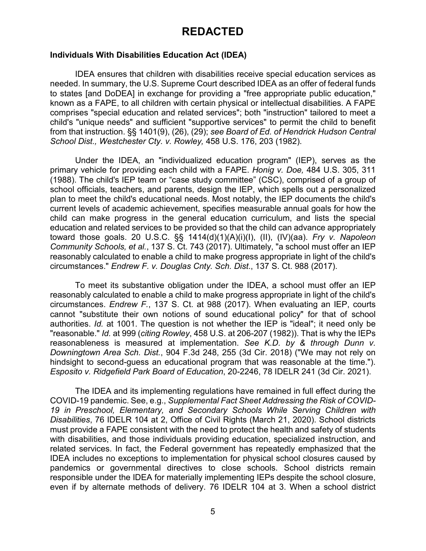#### **Individuals With Disabilities Education Act (IDEA)**

IDEA ensures that children with disabilities receive special education services as needed. In summary, the U.S. Supreme Court described IDEA as an offer of federal funds to states [and DoDEA] in exchange for providing a "free appropriate public education," known as a FAPE, to all children with certain physical or intellectual disabilities. A FAPE comprises "special education and related services"; both "instruction" tailored to meet a child's "unique needs" and sufficient "supportive services" to permit the child to benefit from that instruction. §§ 1401(9), (26), (29); *see Board of Ed. of Hendrick Hudson Central School Dist., Westchester Cty. v. Rowley,* 458 U.S. 176, 203 (1982).

Under the IDEA, an "individualized education program" (IEP), serves as the primary vehicle for providing each child with a FAPE. *Honig v. Doe,* 484 U.S. 305, 311 (1988). The child's IEP team or "case study committee" (CSC), comprised of a group of school officials, teachers, and parents, design the IEP, which spells out a personalized plan to meet the child's educational needs. Most notably, the IEP documents the child's current levels of academic achievement, specifies measurable annual goals for how the child can make progress in the general education curriculum, and lists the special education and related services to be provided so that the child can advance appropriately toward those goals. 20 U.S.C. §§ 1414(d)(1)(A)(i)(I), (II), (IV)(aa). *Fry v. Napoleon Community Schools, et al.*, 137 S. Ct. 743 (2017). Ultimately, "a school must offer an IEP reasonably calculated to enable a child to make progress appropriate in light of the child's circumstances." *Endrew F. v. Douglas Cnty. Sch. Dist*., 137 S. Ct. 988 (2017).

To meet its substantive obligation under the IDEA, a school must offer an IEP reasonably calculated to enable a child to make progress appropriate in light of the child's circumstances. *Endrew F.*, 137 S. Ct. at 988 (2017). When evaluating an IEP, courts cannot "substitute their own notions of sound educational policy" for that of school authorities. *Id.* at 1001. The question is not whether the IEP is "ideal"; it need only be "reasonable." *Id.* at 999 (*citing Rowley*, 458 U.S. at 206-207 (1982)). That is why the IEPs reasonableness is measured at implementation. *See K.D. by & through Dunn v. Downingtown Area Sch. Dist.*, 904 F.3d 248, 255 (3d Cir. 2018) ("We may not rely on hindsight to second-guess an educational program that was reasonable at the time."). *Esposito v. Ridgefield Park Board of Education*, 20-2246, 78 IDELR 241 (3d Cir. 2021).

The IDEA and its implementing regulations have remained in full effect during the COVID-19 pandemic. See, e.g., *Supplemental Fact Sheet Addressing the Risk of COVID-19 in Preschool, Elementary, and Secondary Schools While Serving Children with Disabilities*, 76 IDELR 104 at 2, Office of Civil Rights (March 21, 2020). School districts must provide a FAPE consistent with the need to protect the health and safety of students with disabilities, and those individuals providing education, specialized instruction, and related services. In fact, the Federal government has repeatedly emphasized that the IDEA includes no exceptions to implementation for physical school closures caused by pandemics or governmental directives to close schools. School districts remain responsible under the IDEA for materially implementing IEPs despite the school closure, even if by alternate methods of delivery. 76 IDELR 104 at 3. When a school district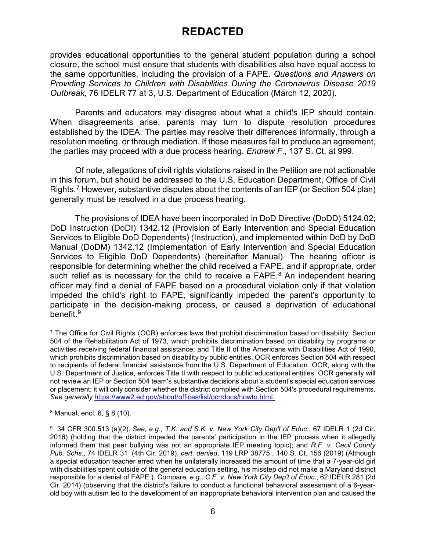provides educational opportunities to the general student population during a school closure, the school must ensure that students with disabilities also have equal access to the same opportunities, including the provision of a FAPE. *Questions and Answers on Providing Services to Children with Disabilities During the Coronavirus Disease 2019 Outbreak*, 76 IDELR 77 at 3, U.S. Department of Education (March 12, 2020).

Parents and educators may disagree about what a child's IEP should contain. When disagreements arise, parents may turn to dispute resolution procedures established by the IDEA. The parties may resolve their differences informally, through a resolution meeting, or through mediation. If these measures fail to produce an agreement, the parties may proceed with a due process hearing. *Endrew F*., 137 S. Ct. at 999.

Of note, allegations of civil rights violations raised in the Petition are not actionable in this forum, but should be addressed to the U.S. Education Department, Office of Civil Rights.[7](#page-5-0) However, substantive disputes about the contents of an IEP (or Section 504 plan) generally must be resolved in a due process hearing.

The provisions of IDEA have been incorporated in DoD Directive (DoDD) 5124.02; DoD Instruction (DoDI) 1342.12 (Provision of Early Intervention and Special Education Services to Eligible DoD Dependents) (Instruction), and implemented within DoD by DoD Manual (DoDM) 1342.12 (Implementation of Early Intervention and Special Education Services to Eligible DoD Dependents) (hereinafter Manual). The hearing officer is responsible for determining whether the child received a FAPE, and if appropriate, order such relief as is necessary for the child to receive a FAPE.<sup>[8](#page-5-1)</sup> An independent hearing officer may find a denial of FAPE based on a procedural violation only if that violation impeded the child's right to FAPE, significantly impeded the parent's opportunity to participate in the decision-making process, or caused a deprivation of educational benefit.<sup>[9](#page-5-2)</sup>

<span id="page-5-1"></span><sup>8</sup> Manual, encl. 6, § 8 (10).

<span id="page-5-0"></span><sup>&</sup>lt;sup>7</sup> The Office for Civil Rights (OCR) enforces laws that prohibit discrimination based on disability: Section 504 of the Rehabilitation Act of 1973, which prohibits discrimination based on disability by programs or activities receiving federal financial assistance; and Title II of the Americans with Disabilities Act of 1990, which prohibits discrimination based on disability by public entities. OCR enforces Section 504 with respect to recipients of federal financial assistance from the U.S. Department of Education. OCR, along with the U.S. Department of Justice, enforces Title II with respect to public educational entities. OCR generally will not review an IEP or Section 504 team's substantive decisions about a student's special education services or placement; it will only consider whether the district complied with Section 504's procedural requirements. *See generally* [https://www2.ed.gov/about/offices/list/ocr/docs/howto.html.](https://www2.ed.gov/about/offices/list/ocr/docs/howto.html)

<span id="page-5-2"></span><sup>9</sup> [34 CFR 300.513](https://www.specialedconnection.com/LrpSecStoryTool/servlet/GetReg?cite=34+CFR+300.513) (a)(2). *See, e.g., T.K. and S.K. v. New York City Dep't of Educ*., [67 IDELR 1 \(](https://www.specialedconnection.com/LrpSecStoryTool/servlet/GetCase?cite=67+IDELR+1)2d Cir. 2016) (holding that the district impeded the parents' participation in the IEP process when it allegedly informed them that peer bullying was not an appropriate IEP meeting topic); and *R.F. v. Cecil County Pub. Schs.*, [74 IDELR 31](https://www.specialedconnection.com/LrpSecStoryTool/servlet/GetCase?cite=74+IDELR+31) (4th Cir. 2019), *cert. denied*, [119 LRP 38775](https://www.specialedconnection.com/LrpSecStoryTool/servlet/GetCase?cite=119+LRP+38775) , 140 S. Ct. 156 (2019) (Although a special education teacher erred when he unilaterally increased the amount of time that a 7-year-old girl with disabilities spent outside of the general education setting, his misstep did not make a Maryland district responsible for a denial of FAPE.). Compare*, e.g., C.F. v. New York City Dep't of Educ.*, [62 IDELR 281 \(](https://www.specialedconnection.com/LrpSecStoryTool/servlet/GetCase?cite=62+IDELR+281)2d Cir. 2014) (observing that the district's failure to conduct a functional behavioral assessment of a 6-yearold boy with autism led to the development of an inappropriate behavioral intervention plan and caused the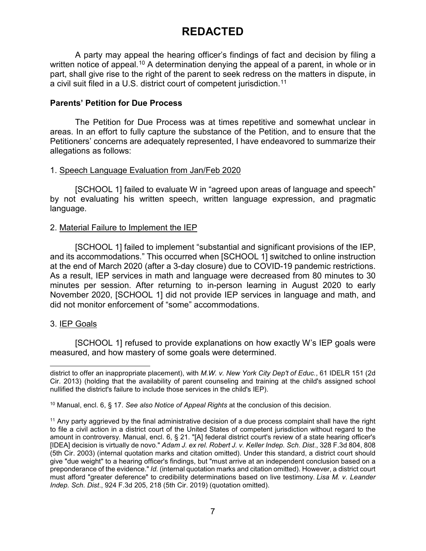A party may appeal the hearing officer's findings of fact and decision by filing a written notice of appeal.<sup>[10](#page-6-0)</sup> A determination denying the appeal of a parent, in whole or in part, shall give rise to the right of the parent to seek redress on the matters in dispute, in a civil suit filed in a U.S. district court of competent jurisdiction.[11](#page-6-1)

### **Parents' Petition for Due Process**

The Petition for Due Process was at times repetitive and somewhat unclear in areas. In an effort to fully capture the substance of the Petition, and to ensure that the Petitioners' concerns are adequately represented, I have endeavored to summarize their allegations as follows:

#### 1. Speech Language Evaluation from Jan/Feb 2020

[SCHOOL 1] failed to evaluate W in "agreed upon areas of language and speech" by not evaluating his written speech, written language expression, and pragmatic language.

#### 2. Material Failure to Implement the IEP

[SCHOOL 1] failed to implement "substantial and significant provisions of the IEP, and its accommodations." This occurred when [SCHOOL 1] switched to online instruction at the end of March 2020 (after a 3-day closure) due to COVID-19 pandemic restrictions. As a result, IEP services in math and language were decreased from 80 minutes to 30 minutes per session. After returning to in-person learning in August 2020 to early November 2020, [SCHOOL 1] did not provide IEP services in language and math, and did not monitor enforcement of "some" accommodations.

### 3. IEP Goals

[SCHOOL 1] refused to provide explanations on how exactly W's IEP goals were measured, and how mastery of some goals were determined.

j district to offer an inappropriate placement), with *M.W. v. New York City Dep't of Educ.*, [61 IDELR 151 \(](https://www.specialedconnection.com/LrpSecStoryTool/servlet/GetCase?cite=61+IDELR+151)2d Cir. 2013) (holding that the availability of parent counseling and training at the child's assigned school nullified the district's failure to include those services in the child's IEP).

<span id="page-6-0"></span><sup>10</sup> Manual, encl. 6, § 17. *See also Notice of Appeal Rights* at the conclusion of this decision.

<span id="page-6-1"></span><sup>&</sup>lt;sup>11</sup> Any party aggrieved by the final administrative decision of a due process complaint shall have the right to file a civil action in a district court of the United States of competent jurisdiction without regard to the amount in controversy. Manual, encl. 6, § 21. "[A] federal district court's review of a state hearing officer's [IDEA] decision is virtually de novo." *Adam J. ex rel. Robert J. v. Keller Indep. Sch. Dist*., 328 F.3d 804, 808 (5th Cir. 2003) (internal quotation marks and citation omitted). Under this standard, a district court should give "due weight" to a hearing officer's findings, but "must arrive at an independent conclusion based on a preponderance of the evidence." *Id.* (internal quotation marks and citation omitted). However, a district court must afford "greater deference" to credibility determinations based on live testimony. *Lisa M. v. Leander Indep. Sch. Dist*., 924 F.3d 205, 218 (5th Cir. 2019) (quotation omitted).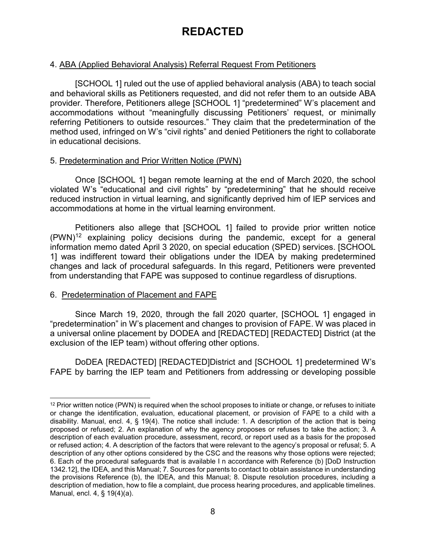### 4. ABA (Applied Behavioral Analysis) Referral Request From Petitioners

[SCHOOL 1] ruled out the use of applied behavioral analysis (ABA) to teach social and behavioral skills as Petitioners requested, and did not refer them to an outside ABA provider. Therefore, Petitioners allege [SCHOOL 1] "predetermined" W's placement and accommodations without "meaningfully discussing Petitioners' request, or minimally referring Petitioners to outside resources." They claim that the predetermination of the method used, infringed on W's "civil rights" and denied Petitioners the right to collaborate in educational decisions.

#### 5. Predetermination and Prior Written Notice (PWN)

Once [SCHOOL 1] began remote learning at the end of March 2020, the school violated W's "educational and civil rights" by "predetermining" that he should receive reduced instruction in virtual learning, and significantly deprived him of IEP services and accommodations at home in the virtual learning environment.

Petitioners also allege that [SCHOOL 1] failed to provide prior written notice  $(PWN)^{12}$  explaining policy decisions during the pandemic, except for a general information memo dated April 3 2020, on special education (SPED) services. [SCHOOL 1] was indifferent toward their obligations under the IDEA by making predetermined changes and lack of procedural safeguards. In this regard, Petitioners were prevented from understanding that FAPE was supposed to continue regardless of disruptions.

### 6. Predetermination of Placement and FAPE

Since March 19, 2020, through the fall 2020 quarter, [SCHOOL 1] engaged in "predetermination" in W's placement and changes to provision of FAPE. W was placed in a universal online placement by DODEA and [REDACTED] [REDACTED] District (at the exclusion of the IEP team) without offering other options.

DoDEA [REDACTED] [REDACTED]District and [SCHOOL 1] predetermined W's FAPE by barring the IEP team and Petitioners from addressing or developing possible

<span id="page-7-0"></span> $12$  Prior written notice (PWN) is required when the school proposes to initiate or change, or refuses to initiate or change the identification, evaluation, educational placement, or provision of FAPE to a child with a disability. Manual, encl. 4, § 19(4). The notice shall include: 1. A description of the action that is being proposed or refused; 2. An explanation of why the agency proposes or refuses to take the action; 3. A description of each evaluation procedure, assessment, record, or report used as a basis for the proposed or refused action; 4. A description of the factors that were relevant to the agency's proposal or refusal; 5. A description of any other options considered by the CSC and the reasons why those options were rejected; 6. Each of the procedural safeguards that is available I n accordance with Reference (b) [DoD Instruction 1342.12], the IDEA, and this Manual; 7. Sources for parents to contact to obtain assistance in understanding the provisions Reference (b), the IDEA, and this Manual; 8. Dispute resolution procedures, including a description of mediation, how to file a complaint, due process hearing procedures, and applicable timelines. Manual, encl. 4, § 19(4)(a).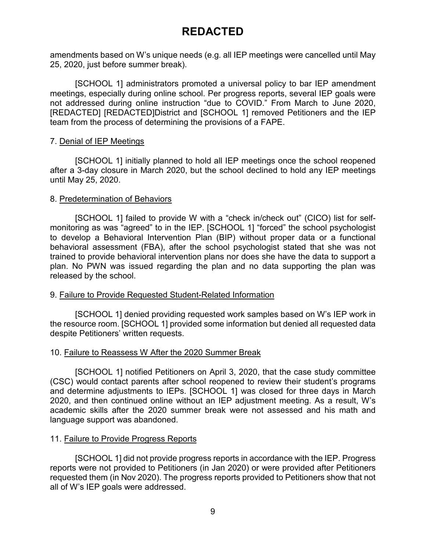amendments based on W's unique needs (e.g. all IEP meetings were cancelled until May 25, 2020, just before summer break).

[SCHOOL 1] administrators promoted a universal policy to bar IEP amendment meetings, especially during online school. Per progress reports, several IEP goals were not addressed during online instruction "due to COVID." From March to June 2020, [REDACTED] [REDACTED]District and [SCHOOL 1] removed Petitioners and the IEP team from the process of determining the provisions of a FAPE.

#### 7. Denial of IEP Meetings

[SCHOOL 1] initially planned to hold all IEP meetings once the school reopened after a 3-day closure in March 2020, but the school declined to hold any IEP meetings until May 25, 2020.

#### 8. Predetermination of Behaviors

[SCHOOL 1] failed to provide W with a "check in/check out" (CICO) list for selfmonitoring as was "agreed" to in the IEP. [SCHOOL 1] "forced" the school psychologist to develop a Behavioral Intervention Plan (BIP) without proper data or a functional behavioral assessment (FBA), after the school psychologist stated that she was not trained to provide behavioral intervention plans nor does she have the data to support a plan. No PWN was issued regarding the plan and no data supporting the plan was released by the school.

### 9. Failure to Provide Requested Student-Related Information

[SCHOOL 1] denied providing requested work samples based on W's IEP work in the resource room. [SCHOOL 1] provided some information but denied all requested data despite Petitioners' written requests.

#### 10. Failure to Reassess W After the 2020 Summer Break

[SCHOOL 1] notified Petitioners on April 3, 2020, that the case study committee (CSC) would contact parents after school reopened to review their student's programs and determine adjustments to IEPs. [SCHOOL 1] was closed for three days in March 2020, and then continued online without an IEP adjustment meeting. As a result, W's academic skills after the 2020 summer break were not assessed and his math and language support was abandoned.

#### 11. Failure to Provide Progress Reports

[SCHOOL 1] did not provide progress reports in accordance with the IEP. Progress reports were not provided to Petitioners (in Jan 2020) or were provided after Petitioners requested them (in Nov 2020). The progress reports provided to Petitioners show that not all of W's IEP goals were addressed.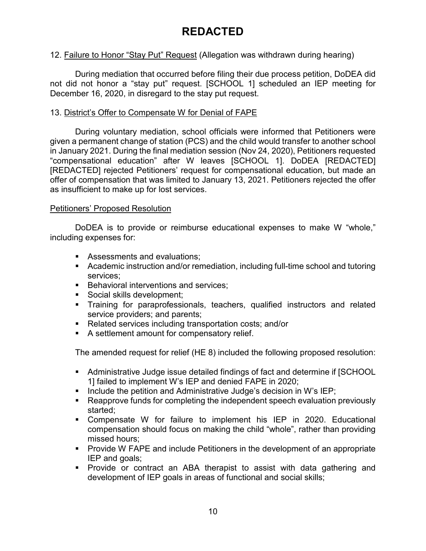### 12. Failure to Honor "Stay Put" Request (Allegation was withdrawn during hearing)

During mediation that occurred before filing their due process petition, DoDEA did not did not honor a "stay put" request. [SCHOOL 1] scheduled an IEP meeting for December 16, 2020, in disregard to the stay put request.

### 13. District's Offer to Compensate W for Denial of FAPE

During voluntary mediation, school officials were informed that Petitioners were given a permanent change of station (PCS) and the child would transfer to another school in January 2021. During the final mediation session (Nov 24, 2020), Petitioners requested "compensational education" after W leaves [SCHOOL 1]. DoDEA [REDACTED] [REDACTED] rejected Petitioners' request for compensational education, but made an offer of compensation that was limited to January 13, 2021. Petitioners rejected the offer as insufficient to make up for lost services.

### Petitioners' Proposed Resolution

DoDEA is to provide or reimburse educational expenses to make W "whole," including expenses for:

- **Assessments and evaluations;**
- Academic instruction and/or remediation, including full-time school and tutoring services;
- **Behavioral interventions and services;**
- Social skills development;
- **Training for paraprofessionals, teachers, qualified instructors and related** service providers; and parents;
- Related services including transportation costs; and/or
- A settlement amount for compensatory relief.

The amended request for relief (HE 8) included the following proposed resolution:

- Administrative Judge issue detailed findings of fact and determine if [SCHOOL 1] failed to implement W's IEP and denied FAPE in 2020;
- Include the petition and Administrative Judge's decision in W's  $\mathsf{I}\mathsf{E}\mathsf{P}$ :
- Reapprove funds for completing the independent speech evaluation previously started;
- Compensate W for failure to implement his IEP in 2020. Educational compensation should focus on making the child "whole", rather than providing missed hours;
- **Provide W FAPE and include Petitioners in the development of an appropriate** IEP and goals;
- Provide or contract an ABA therapist to assist with data gathering and development of IEP goals in areas of functional and social skills;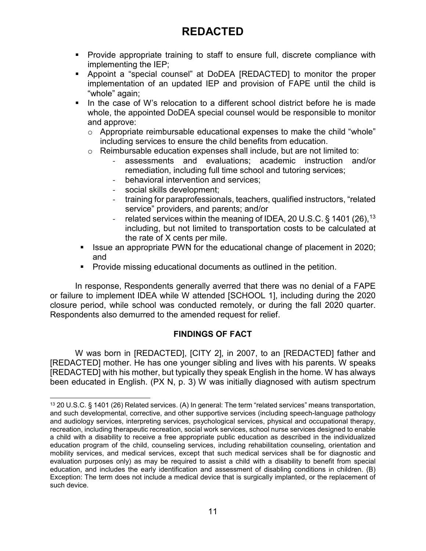- Provide appropriate training to staff to ensure full, discrete compliance with implementing the IEP;
- Appoint a "special counsel" at DoDEA [REDACTED] to monitor the proper implementation of an updated IEP and provision of FAPE until the child is "whole" again;
- In the case of W's relocation to a different school district before he is made whole, the appointed DoDEA special counsel would be responsible to monitor and approve:
	- $\circ$  Appropriate reimbursable educational expenses to make the child "whole" including services to ensure the child benefits from education.
	- o Reimbursable education expenses shall include, but are not limited to:
		- assessments and evaluations; academic instruction and/or remediation, including full time school and tutoring services;
		- behavioral intervention and services;
		- social skills development;
		- training for paraprofessionals, teachers, qualified instructors, "related service" providers, and parents; and/or
		- related services within the meaning of IDEA, 20 U.S.C.  $\S$  1401 (26), <sup>[13](#page-10-0)</sup> including, but not limited to transportation costs to be calculated at the rate of X cents per mile.
- **ISSUE an appropriate PWN for the educational change of placement in 2020;** and
- **Provide missing educational documents as outlined in the petition.**

In response, Respondents generally averred that there was no denial of a FAPE or failure to implement IDEA while W attended [SCHOOL 1], including during the 2020 closure period, while school was conducted remotely, or during the fall 2020 quarter. Respondents also demurred to the amended request for relief.

### **FINDINGS OF FACT**

W was born in [REDACTED], [CITY 2], in 2007, to an [REDACTED] father and [REDACTED] mother. He has one younger sibling and lives with his parents. W speaks [REDACTED] with his mother, but typically they speak English in the home. W has always been educated in English. (PX N, p. 3) W was initially diagnosed with autism spectrum

<span id="page-10-0"></span> <sup>13</sup> 20 U.S.C. § 1401 (26) Related services. (A) In general: The term "related services" means transportation, and such developmental, corrective, and other supportive services (including speech-language pathology and audiology services, interpreting services, psychological services, physical and occupational therapy, recreation, including therapeutic recreation, social work services, school nurse services designed to enable a child with a disability to receive a free appropriate public education as described in the individualized education program of the child, counseling services, including rehabilitation counseling, orientation and mobility services, and medical services, except that such medical services shall be for diagnostic and evaluation purposes only) as may be required to assist a child with a disability to benefit from special education, and includes the early identification and assessment of disabling conditions in children. (B) Exception: The term does not include a medical device that is surgically implanted, or the replacement of such device.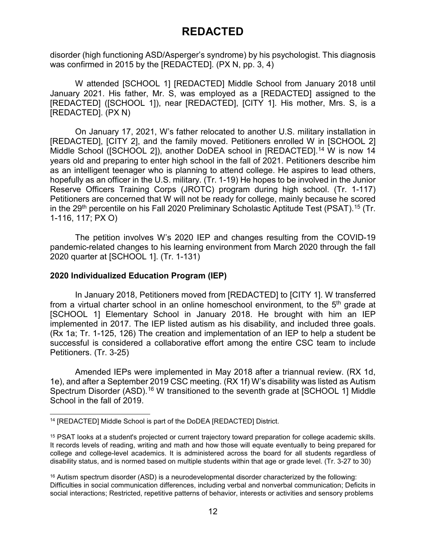disorder (high functioning ASD/Asperger's syndrome) by his psychologist. This diagnosis was confirmed in 2015 by the [REDACTED]. (PX N, pp. 3, 4)

W attended [SCHOOL 1] [REDACTED] Middle School from January 2018 until January 2021. His father, Mr. S, was employed as a [REDACTED] assigned to the [REDACTED] ([SCHOOL 1]), near [REDACTED], [CITY 1]. His mother, Mrs. S, is a [REDACTED]. (PX N)

On January 17, 2021, W's father relocated to another U.S. military installation in [REDACTED], [CITY 2], and the family moved. Petitioners enrolled W in [SCHOOL 2] Middle School ([SCHOOL 2]), another DoDEA school in [REDACTED].<sup>[14](#page-11-0)</sup> W is now 14 years old and preparing to enter high school in the fall of 2021. Petitioners describe him as an intelligent teenager who is planning to attend college. He aspires to lead others, hopefully as an officer in the U.S. military. (Tr. 1-19) He hopes to be involved in the Junior Reserve Officers Training Corps (JROTC) program during high school. (Tr. 1-117) Petitioners are concerned that W will not be ready for college, mainly because he scored in the 29<sup>th</sup> percentile on his Fall 2020 Preliminary Scholastic Aptitude Test (PSAT). $^{15}$  $^{15}$  $^{15}$  (Tr. 1-116, 117; PX O)

The petition involves W's 2020 IEP and changes resulting from the COVID-19 pandemic-related changes to his learning environment from March 2020 through the fall 2020 quarter at [SCHOOL 1]. (Tr. 1-131)

### **2020 Individualized Education Program (IEP)**

In January 2018, Petitioners moved from [REDACTED] to [CITY 1]. W transferred from a virtual charter school in an online homeschool environment, to the  $5<sup>th</sup>$  grade at [SCHOOL 1] Elementary School in January 2018. He brought with him an IEP implemented in 2017. The IEP listed autism as his disability, and included three goals. (Rx 1a; Tr. 1-125, 126) The creation and implementation of an IEP to help a student be successful is considered a collaborative effort among the entire CSC team to include Petitioners. (Tr. 3-25)

Amended IEPs were implemented in May 2018 after a triannual review. (RX 1d, 1e), and after a September 2019 CSC meeting. (RX 1f) W's disability was listed as Autism Spectrum Disorder (ASD).<sup>[16](#page-11-2)</sup> W transitioned to the seventh grade at [SCHOOL 1] Middle School in the fall of 2019.

<span id="page-11-0"></span> <sup>14</sup> [REDACTED] Middle School is part of the DoDEA [REDACTED] District.

<span id="page-11-1"></span><sup>15</sup> PSAT looks at a student's projected or current trajectory toward preparation for college academic skills. It records levels of reading, writing and math and how those will equate eventually to being prepared for college and college-level academics. It is administered across the board for all students regardless of disability status, and is normed based on multiple students within that age or grade level. (Tr. 3-27 to 30)

<span id="page-11-2"></span> $16$  Autism spectrum disorder (ASD) is a neurodevelopmental disorder characterized by the following: Difficulties in social communication differences, including verbal and nonverbal communication; Deficits in social interactions; Restricted, repetitive patterns of behavior, interests or activities and sensory problems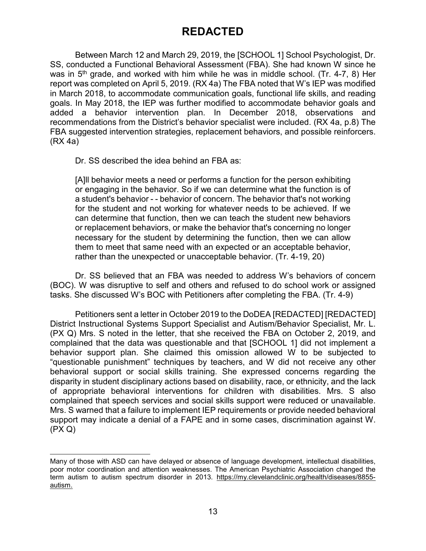Between March 12 and March 29, 2019, the [SCHOOL 1] School Psychologist, Dr. SS, conducted a Functional Behavioral Assessment (FBA). She had known W since he was in  $5<sup>th</sup>$  grade, and worked with him while he was in middle school. (Tr. 4-7, 8) Her report was completed on April 5, 2019. (RX 4a) The FBA noted that W's IEP was modified in March 2018, to accommodate communication goals, functional life skills, and reading goals. In May 2018, the IEP was further modified to accommodate behavior goals and added a behavior intervention plan. In December 2018, observations and recommendations from the District's behavior specialist were included. (RX 4a, p.8) The FBA suggested intervention strategies, replacement behaviors, and possible reinforcers. (RX 4a)

Dr. SS described the idea behind an FBA as:

j

[A]ll behavior meets a need or performs a function for the person exhibiting or engaging in the behavior. So if we can determine what the function is of a student's behavior - - behavior of concern. The behavior that's not working for the student and not working for whatever needs to be achieved. If we can determine that function, then we can teach the student new behaviors or replacement behaviors, or make the behavior that's concerning no longer necessary for the student by determining the function, then we can allow them to meet that same need with an expected or an acceptable behavior, rather than the unexpected or unacceptable behavior. (Tr. 4-19, 20)

Dr. SS believed that an FBA was needed to address W's behaviors of concern (BOC). W was disruptive to self and others and refused to do school work or assigned tasks. She discussed W's BOC with Petitioners after completing the FBA. (Tr. 4-9)

Petitioners sent a letter in October 2019 to the DoDEA [REDACTED] [REDACTED] District Instructional Systems Support Specialist and Autism/Behavior Specialist, Mr. L. (PX Q) Mrs. S noted in the letter, that she received the FBA on October 2, 2019, and complained that the data was questionable and that [SCHOOL 1] did not implement a behavior support plan. She claimed this omission allowed W to be subjected to "questionable punishment" techniques by teachers, and W did not receive any other behavioral support or social skills training. She expressed concerns regarding the disparity in student disciplinary actions based on disability, race, or ethnicity, and the lack of appropriate behavioral interventions for children with disabilities. Mrs. S also complained that speech services and social skills support were reduced or unavailable. Mrs. S warned that a failure to implement IEP requirements or provide needed behavioral support may indicate a denial of a FAPE and in some cases, discrimination against W. (PX Q)

Many of those with ASD can have delayed or absence of language development, intellectual disabilities, poor motor coordination and attention weaknesses. The American Psychiatric Association changed the term autism to autism spectrum disorder in 2013. https://my.clevelandclinic.org/health/diseases/8855autism.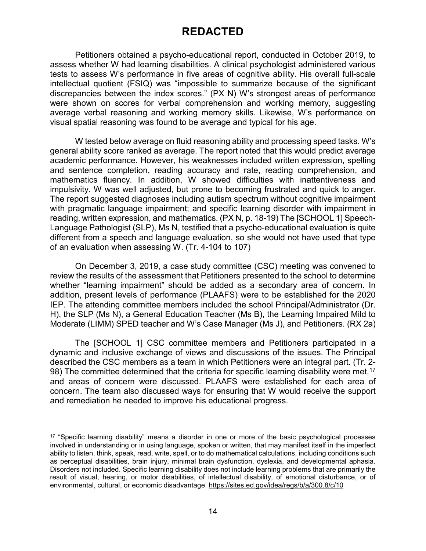Petitioners obtained a psycho-educational report, conducted in October 2019, to assess whether W had learning disabilities. A clinical psychologist administered various tests to assess W's performance in five areas of cognitive ability. His overall full-scale intellectual quotient (FSIQ) was "impossible to summarize because of the significant discrepancies between the index scores." (PX N) W's strongest areas of performance were shown on scores for verbal comprehension and working memory, suggesting average verbal reasoning and working memory skills. Likewise, W's performance on visual spatial reasoning was found to be average and typical for his age.

W tested below average on fluid reasoning ability and processing speed tasks. W's general ability score ranked as average. The report noted that this would predict average academic performance. However, his weaknesses included written expression, spelling and sentence completion, reading accuracy and rate, reading comprehension, and mathematics fluency. In addition, W showed difficulties with inattentiveness and impulsivity. W was well adjusted, but prone to becoming frustrated and quick to anger. The report suggested diagnoses including autism spectrum without cognitive impairment with pragmatic language impairment; and specific learning disorder with impairment in reading, written expression, and mathematics. (PX N, p. 18-19) The [SCHOOL 1] Speech-Language Pathologist (SLP), Ms N, testified that a psycho-educational evaluation is quite different from a speech and language evaluation, so she would not have used that type of an evaluation when assessing W. (Tr. 4-104 to 107)

On December 3, 2019, a case study committee (CSC) meeting was convened to review the results of the assessment that Petitioners presented to the school to determine whether "learning impairment" should be added as a secondary area of concern. In addition, present levels of performance (PLAAFS) were to be established for the 2020 IEP. The attending committee members included the school Principal/Administrator (Dr. H), the SLP (Ms N), a General Education Teacher (Ms B), the Learning Impaired Mild to Moderate (LIMM) SPED teacher and W's Case Manager (Ms J), and Petitioners. (RX 2a)

The [SCHOOL 1] CSC committee members and Petitioners participated in a dynamic and inclusive exchange of views and discussions of the issues. The Principal described the CSC members as a team in which Petitioners were an integral part. (Tr. 2- 98) The committee determined that the criteria for specific learning disability were met,<sup>[17](#page-13-0)</sup> and areas of concern were discussed. PLAAFS were established for each area of concern. The team also discussed ways for ensuring that W would receive the support and remediation he needed to improve his educational progress.

<span id="page-13-0"></span> <sup>17</sup> "Specific learning disability" means a disorder in one or more of the basic psychological processes involved in understanding or in using language, spoken or written, that may manifest itself in the imperfect ability to listen, think, speak, read, write, spell, or to do mathematical calculations, including conditions such as perceptual disabilities, brain injury, minimal brain dysfunction, dyslexia, and developmental aphasia. Disorders not included. Specific learning disability does not include learning problems that are primarily the result of visual, hearing, or motor disabilities, of intellectual disability, of emotional disturbance, or of environmental, cultural, or economic disadvantage. https://sites.ed.gov/idea/regs/b/a/300.8/c/10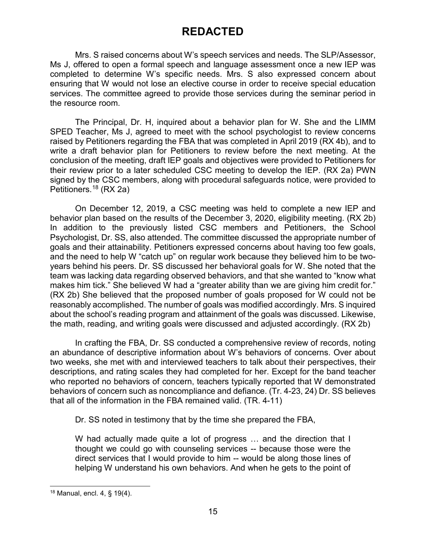Mrs. S raised concerns about W's speech services and needs. The SLP/Assessor, Ms J, offered to open a formal speech and language assessment once a new IEP was completed to determine W's specific needs. Mrs. S also expressed concern about ensuring that W would not lose an elective course in order to receive special education services. The committee agreed to provide those services during the seminar period in the resource room.

The Principal, Dr. H, inquired about a behavior plan for W. She and the LIMM SPED Teacher, Ms J, agreed to meet with the school psychologist to review concerns raised by Petitioners regarding the FBA that was completed in April 2019 (RX 4b), and to write a draft behavior plan for Petitioners to review before the next meeting. At the conclusion of the meeting, draft IEP goals and objectives were provided to Petitioners for their review prior to a later scheduled CSC meeting to develop the IEP. (RX 2a) PWN signed by the CSC members, along with procedural safeguards notice, were provided to Petitioners. [18](#page-14-0) (RX 2a)

On December 12, 2019, a CSC meeting was held to complete a new IEP and behavior plan based on the results of the December 3, 2020, eligibility meeting. (RX 2b) In addition to the previously listed CSC members and Petitioners, the School Psychologist, Dr. SS, also attended. The committee discussed the appropriate number of goals and their attainability. Petitioners expressed concerns about having too few goals, and the need to help W "catch up" on regular work because they believed him to be twoyears behind his peers. Dr. SS discussed her behavioral goals for W. She noted that the team was lacking data regarding observed behaviors, and that she wanted to "know what makes him tick." She believed W had a "greater ability than we are giving him credit for." (RX 2b) She believed that the proposed number of goals proposed for W could not be reasonably accomplished. The number of goals was modified accordingly. Mrs. S inquired about the school's reading program and attainment of the goals was discussed. Likewise, the math, reading, and writing goals were discussed and adjusted accordingly. (RX 2b)

In crafting the FBA, Dr. SS conducted a comprehensive review of records, noting an abundance of descriptive information about W's behaviors of concerns. Over about two weeks, she met with and interviewed teachers to talk about their perspectives, their descriptions, and rating scales they had completed for her. Except for the band teacher who reported no behaviors of concern, teachers typically reported that W demonstrated behaviors of concern such as noncompliance and defiance. (Tr. 4-23, 24) Dr. SS believes that all of the information in the FBA remained valid. (TR. 4-11)

Dr. SS noted in testimony that by the time she prepared the FBA,

W had actually made quite a lot of progress … and the direction that I thought we could go with counseling services -- because those were the direct services that I would provide to him -- would be along those lines of helping W understand his own behaviors. And when he gets to the point of

<span id="page-14-0"></span> <sup>18</sup> Manual, encl. 4, § 19(4).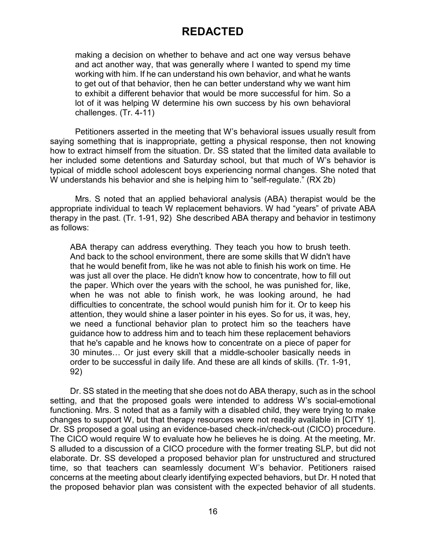making a decision on whether to behave and act one way versus behave and act another way, that was generally where I wanted to spend my time working with him. If he can understand his own behavior, and what he wants to get out of that behavior, then he can better understand why we want him to exhibit a different behavior that would be more successful for him. So a lot of it was helping W determine his own success by his own behavioral challenges. (Tr. 4-11)

Petitioners asserted in the meeting that W's behavioral issues usually result from saying something that is inappropriate, getting a physical response, then not knowing how to extract himself from the situation. Dr. SS stated that the limited data available to her included some detentions and Saturday school, but that much of W's behavior is typical of middle school adolescent boys experiencing normal changes. She noted that W understands his behavior and she is helping him to "self-regulate." (RX 2b)

Mrs. S noted that an applied behavioral analysis (ABA) therapist would be the appropriate individual to teach W replacement behaviors. W had "years" of private ABA therapy in the past. (Tr. 1-91, 92) She described ABA therapy and behavior in testimony as follows:

ABA therapy can address everything. They teach you how to brush teeth. And back to the school environment, there are some skills that W didn't have that he would benefit from, like he was not able to finish his work on time. He was just all over the place. He didn't know how to concentrate, how to fill out the paper. Which over the years with the school, he was punished for, like, when he was not able to finish work, he was looking around, he had difficulties to concentrate, the school would punish him for it. Or to keep his attention, they would shine a laser pointer in his eyes. So for us, it was, hey, we need a functional behavior plan to protect him so the teachers have guidance how to address him and to teach him these replacement behaviors that he's capable and he knows how to concentrate on a piece of paper for 30 minutes… Or just every skill that a middle-schooler basically needs in order to be successful in daily life. And these are all kinds of skills. (Tr. 1-91, 92)

Dr. SS stated in the meeting that she does not do ABA therapy, such as in the school setting, and that the proposed goals were intended to address W's social-emotional functioning. Mrs. S noted that as a family with a disabled child, they were trying to make changes to support W, but that therapy resources were not readily available in [CITY 1]. Dr. SS proposed a goal using an evidence-based check-in/check-out (CICO) procedure. The CICO would require W to evaluate how he believes he is doing. At the meeting, Mr. S alluded to a discussion of a CICO procedure with the former treating SLP, but did not elaborate. Dr. SS developed a proposed behavior plan for unstructured and structured time, so that teachers can seamlessly document W's behavior. Petitioners raised concerns at the meeting about clearly identifying expected behaviors, but Dr. H noted that the proposed behavior plan was consistent with the expected behavior of all students.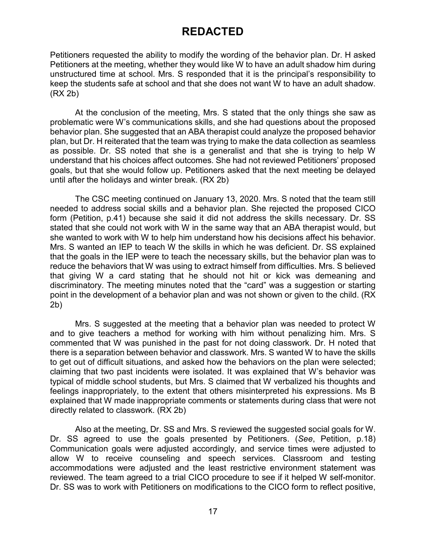Petitioners requested the ability to modify the wording of the behavior plan. Dr. H asked Petitioners at the meeting, whether they would like W to have an adult shadow him during unstructured time at school. Mrs. S responded that it is the principal's responsibility to keep the students safe at school and that she does not want W to have an adult shadow. (RX 2b)

At the conclusion of the meeting, Mrs. S stated that the only things she saw as problematic were W's communications skills, and she had questions about the proposed behavior plan. She suggested that an ABA therapist could analyze the proposed behavior plan, but Dr. H reiterated that the team was trying to make the data collection as seamless as possible. Dr. SS noted that she is a generalist and that she is trying to help W understand that his choices affect outcomes. She had not reviewed Petitioners' proposed goals, but that she would follow up. Petitioners asked that the next meeting be delayed until after the holidays and winter break. (RX 2b)

The CSC meeting continued on January 13, 2020. Mrs. S noted that the team still needed to address social skills and a behavior plan. She rejected the proposed CICO form (Petition, p.41) because she said it did not address the skills necessary. Dr. SS stated that she could not work with W in the same way that an ABA therapist would, but she wanted to work with W to help him understand how his decisions affect his behavior. Mrs. S wanted an IEP to teach W the skills in which he was deficient. Dr. SS explained that the goals in the IEP were to teach the necessary skills, but the behavior plan was to reduce the behaviors that W was using to extract himself from difficulties. Mrs. S believed that giving W a card stating that he should not hit or kick was demeaning and discriminatory. The meeting minutes noted that the "card" was a suggestion or starting point in the development of a behavior plan and was not shown or given to the child. (RX 2b)

Mrs. S suggested at the meeting that a behavior plan was needed to protect W and to give teachers a method for working with him without penalizing him. Mrs. S commented that W was punished in the past for not doing classwork. Dr. H noted that there is a separation between behavior and classwork. Mrs. S wanted W to have the skills to get out of difficult situations, and asked how the behaviors on the plan were selected; claiming that two past incidents were isolated. It was explained that W's behavior was typical of middle school students, but Mrs. S claimed that W verbalized his thoughts and feelings inappropriately, to the extent that others misinterpreted his expressions. Ms B explained that W made inappropriate comments or statements during class that were not directly related to classwork. (RX 2b)

Also at the meeting, Dr. SS and Mrs. S reviewed the suggested social goals for W. Dr. SS agreed to use the goals presented by Petitioners. (*See*, Petition, p.18) Communication goals were adjusted accordingly, and service times were adjusted to allow W to receive counseling and speech services. Classroom and testing accommodations were adjusted and the least restrictive environment statement was reviewed. The team agreed to a trial CICO procedure to see if it helped W self-monitor. Dr. SS was to work with Petitioners on modifications to the CICO form to reflect positive,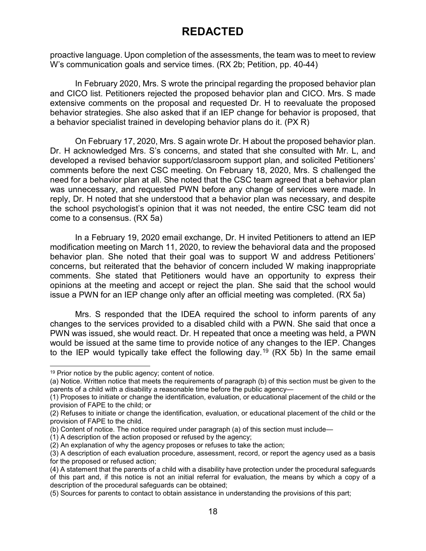proactive language. Upon completion of the assessments, the team was to meet to review W's communication goals and service times. (RX 2b; Petition, pp. 40-44)

In February 2020, Mrs. S wrote the principal regarding the proposed behavior plan and CICO list. Petitioners rejected the proposed behavior plan and CICO. Mrs. S made extensive comments on the proposal and requested Dr. H to reevaluate the proposed behavior strategies. She also asked that if an IEP change for behavior is proposed, that a behavior specialist trained in developing behavior plans do it. (PX R)

On February 17, 2020, Mrs. S again wrote Dr. H about the proposed behavior plan. Dr. H acknowledged Mrs. S's concerns, and stated that she consulted with Mr. L, and developed a revised behavior support/classroom support plan, and solicited Petitioners' comments before the next CSC meeting. On February 18, 2020, Mrs. S challenged the need for a behavior plan at all. She noted that the CSC team agreed that a behavior plan was unnecessary, and requested PWN before any change of services were made. In reply, Dr. H noted that she understood that a behavior plan was necessary, and despite the school psychologist's opinion that it was not needed, the entire CSC team did not come to a consensus. (RX 5a)

In a February 19, 2020 email exchange, Dr. H invited Petitioners to attend an IEP modification meeting on March 11, 2020, to review the behavioral data and the proposed behavior plan. She noted that their goal was to support W and address Petitioners' concerns, but reiterated that the behavior of concern included W making inappropriate comments. She stated that Petitioners would have an opportunity to express their opinions at the meeting and accept or reject the plan. She said that the school would issue a PWN for an IEP change only after an official meeting was completed. (RX 5a)

Mrs. S responded that the IDEA required the school to inform parents of any changes to the services provided to a disabled child with a PWN. She said that once a PWN was issued, she would react. Dr. H repeated that once a meeting was held, a PWN would be issued at the same time to provide notice of any changes to the IEP. Changes to the IEP would typically take effect the following day.<sup>[19](#page-17-0)</sup> (RX 5b) In the same email

<span id="page-17-0"></span> $19$  Prior notice by the public agency; content of notice.

<sup>(</sup>a) Notice. Written notice that meets the requirements of paragraph (b) of this section must be given to the parents of a child with a disability a reasonable time before the public agency—

<sup>(1)</sup> Proposes to initiate or change the identification, evaluation, or educational placement of the child or the provision of FAPE to the child; or

<sup>(2)</sup> Refuses to initiate or change the identification, evaluation, or educational placement of the child or the provision of FAPE to the child.

<sup>(</sup>b) Content of notice. The notice required under paragraph (a) of this section must include—

<sup>(1)</sup> A description of the action proposed or refused by the agency;

<sup>(2)</sup> An explanation of why the agency proposes or refuses to take the action;

<sup>(3)</sup> A description of each evaluation procedure, assessment, record, or report the agency used as a basis for the proposed or refused action;

<sup>(4)</sup> A statement that the parents of a child with a disability have protection under the procedural safeguards of this part and, if this notice is not an initial referral for evaluation, the means by which a copy of a description of the procedural safeguards can be obtained;

<sup>(5)</sup> Sources for parents to contact to obtain assistance in understanding the provisions of this part;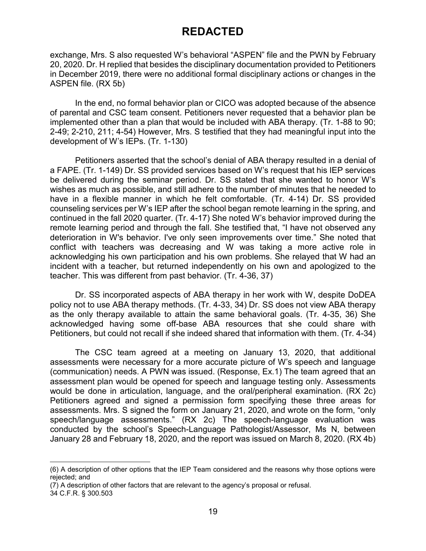exchange, Mrs. S also requested W's behavioral "ASPEN" file and the PWN by February 20, 2020. Dr. H replied that besides the disciplinary documentation provided to Petitioners in December 2019, there were no additional formal disciplinary actions or changes in the ASPEN file. (RX 5b)

In the end, no formal behavior plan or CICO was adopted because of the absence of parental and CSC team consent. Petitioners never requested that a behavior plan be implemented other than a plan that would be included with ABA therapy. (Tr. 1-88 to 90; 2-49; 2-210, 211; 4-54) However, Mrs. S testified that they had meaningful input into the development of W's IEPs. (Tr. 1-130)

Petitioners asserted that the school's denial of ABA therapy resulted in a denial of a FAPE. (Tr. 1-149) Dr. SS provided services based on W's request that his IEP services be delivered during the seminar period. Dr. SS stated that she wanted to honor W's wishes as much as possible, and still adhere to the number of minutes that he needed to have in a flexible manner in which he felt comfortable. (Tr. 4-14) Dr. SS provided counseling services per W's IEP after the school began remote learning in the spring, and continued in the fall 2020 quarter. (Tr. 4-17) She noted W's behavior improved during the remote learning period and through the fall. She testified that, "I have not observed any deterioration in W's behavior. I've only seen improvements over time." She noted that conflict with teachers was decreasing and W was taking a more active role in acknowledging his own participation and his own problems. She relayed that W had an incident with a teacher, but returned independently on his own and apologized to the teacher. This was different from past behavior. (Tr. 4-36, 37)

Dr. SS incorporated aspects of ABA therapy in her work with W, despite DoDEA policy not to use ABA therapy methods. (Tr. 4-33, 34) Dr. SS does not view ABA therapy as the only therapy available to attain the same behavioral goals. (Tr. 4-35, 36) She acknowledged having some off-base ABA resources that she could share with Petitioners, but could not recall if she indeed shared that information with them. (Tr. 4-34)

The CSC team agreed at a meeting on January 13, 2020, that additional assessments were necessary for a more accurate picture of W's speech and language (communication) needs. A PWN was issued. (Response, Ex.1) The team agreed that an assessment plan would be opened for speech and language testing only. Assessments would be done in articulation, language, and the oral/peripheral examination. (RX 2c) Petitioners agreed and signed a permission form specifying these three areas for assessments. Mrs. S signed the form on January 21, 2020, and wrote on the form, "only speech/language assessments." (RX 2c) The speech-language evaluation was conducted by the school's Speech-Language Pathologist/Assessor, Ms N, between January 28 and February 18, 2020, and the report was issued on March 8, 2020. (RX 4b)

j (6) A description of other options that the IEP Team considered and the reasons why those options were rejected; and

<sup>(7)</sup> A description of other factors that are relevant to the agency's proposal or refusal.

<sup>34</sup> C.F.R. § 300.503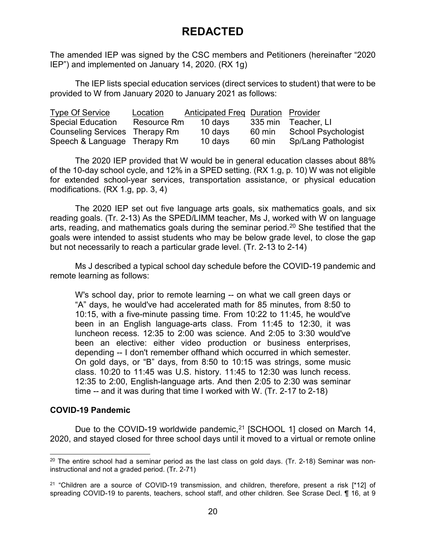The amended IEP was signed by the CSC members and Petitioners (hereinafter "2020 IEP") and implemented on January 14, 2020. (RX 1g)

The IEP lists special education services (direct services to student) that were to be provided to W from January 2020 to January 2021 as follows:

| <b>Type Of Service</b>         | Location    | <b>Anticipated Freq Duration Provider</b> |         |                            |
|--------------------------------|-------------|-------------------------------------------|---------|----------------------------|
| <b>Special Education</b>       | Resource Rm | 10 days                                   | 335 min | Teacher, LI                |
| Counseling Services Therapy Rm |             | 10 days                                   | 60 min  | <b>School Psychologist</b> |
| Speech & Language Therapy Rm   |             | 10 days                                   | 60 min  | <b>Sp/Lang Pathologist</b> |

The 2020 IEP provided that W would be in general education classes about 88% of the 10-day school cycle, and 12% in a SPED setting. (RX 1.g, p. 10) W was not eligible for extended school-year services, transportation assistance, or physical education modifications. (RX 1.g, pp. 3, 4)

The 2020 IEP set out five language arts goals, six mathematics goals, and six reading goals. (Tr. 2-13) As the SPED/LIMM teacher, Ms J, worked with W on language arts, reading, and mathematics goals during the seminar period.[20](#page-19-0) She testified that the goals were intended to assist students who may be below grade level, to close the gap but not necessarily to reach a particular grade level. (Tr. 2-13 to 2-14)

Ms J described a typical school day schedule before the COVID-19 pandemic and remote learning as follows:

W's school day, prior to remote learning -- on what we call green days or "A" days, he would've had accelerated math for 85 minutes, from 8:50 to 10:15, with a five-minute passing time. From 10:22 to 11:45, he would've been in an English language-arts class. From 11:45 to 12:30, it was luncheon recess. 12:35 to 2:00 was science. And 2:05 to 3:30 would've been an elective: either video production or business enterprises, depending -- I don't remember offhand which occurred in which semester. On gold days, or "B" days, from 8:50 to 10:15 was strings, some music class. 10:20 to 11:45 was U.S. history. 11:45 to 12:30 was lunch recess. 12:35 to 2:00, English-language arts. And then 2:05 to 2:30 was seminar time -- and it was during that time I worked with W. (Tr. 2-17 to 2-18)

### **COVID-19 Pandemic**

Due to the COVID-19 worldwide pandemic,  $21$  [SCHOOL 1] closed on March 14, 2020, and stayed closed for three school days until it moved to a virtual or remote online

<span id="page-19-0"></span> $20$  The entire school had a seminar period as the last class on gold days. (Tr. 2-18) Seminar was noninstructional and not a graded period. (Tr. 2-71)

<span id="page-19-1"></span><sup>&</sup>lt;sup>21</sup> "Children are a source of COVID-19 transmission, and children, therefore, present a risk [\*12] of spreading COVID-19 to parents, teachers, school staff, and other children. See Scrase Decl. ¶ 16, at 9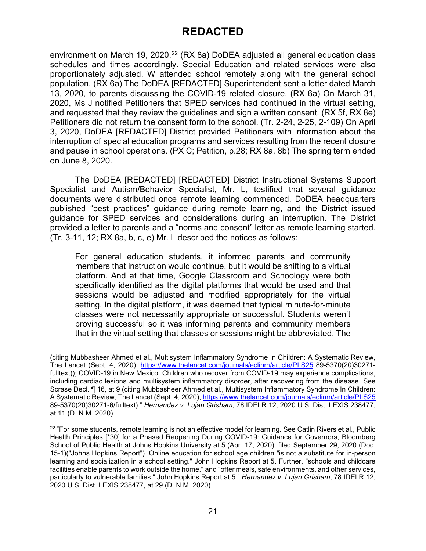environment on March 19, 2020.<sup>[22](#page-20-0)</sup> (RX 8a) DoDEA adjusted all general education class schedules and times accordingly. Special Education and related services were also proportionately adjusted. W attended school remotely along with the general school population. (RX 6a) The DoDEA [REDACTED] Superintendent sent a letter dated March 13, 2020, to parents discussing the COVID-19 related closure. (RX 6a) On March 31, 2020, Ms J notified Petitioners that SPED services had continued in the virtual setting, and requested that they review the guidelines and sign a written consent. (RX 5f, RX 8e) Petitioners did not return the consent form to the school. (Tr. 2-24, 2-25, 2-109) On April 3, 2020, DoDEA [REDACTED] District provided Petitioners with information about the interruption of special education programs and services resulting from the recent closure and pause in school operations. (PX C; Petition, p.28; RX 8a, 8b) The spring term ended on June 8, 2020.

The DoDEA [REDACTED] [REDACTED] District Instructional Systems Support Specialist and Autism/Behavior Specialist, Mr. L, testified that several guidance documents were distributed once remote learning commenced. DoDEA headquarters published "best practices" guidance during remote learning, and the District issued guidance for SPED services and considerations during an interruption. The District provided a letter to parents and a "norms and consent" letter as remote learning started. (Tr. 3-11, 12; RX 8a, b, c, e) Mr. L described the notices as follows:

For general education students, it informed parents and community members that instruction would continue, but it would be shifting to a virtual platform. And at that time, Google Classroom and Schoology were both specifically identified as the digital platforms that would be used and that sessions would be adjusted and modified appropriately for the virtual setting. In the digital platform, it was deemed that typical minute-for-minute classes were not necessarily appropriate or successful. Students weren't proving successful so it was informing parents and community members that in the virtual setting that classes or sessions might be abbreviated. The

<sup>-</sup>(citing Mubbasheer Ahmed et al., Multisystem Inflammatory Syndrome In Children: A Systematic Review, The Lancet (Sept. 4, 2020),<https://www.thelancet.com/journals/eclinm/article/PIIS25> 89-5370(20)30271 fulltext)); COVID-19 in New Mexico. Children who recover from COVID-19 may experience complications, including cardiac lesions and multisystem inflammatory disorder, after recovering from the disease. See Scrase Decl. ¶ 16, at 9 (citing Mubbasheer Ahmed et al., Multisystem Inflammatory Syndrome In Children: A Systematic Review, The Lancet (Sept. 4, 2020)[, https://www.thelancet.com/journals/eclinm/article/PIIS25](https://www.thelancet.com/journals/eclinm/article/PIIS25) 89-5370(20)30271-6/fulltext)." *Hernandez v. Lujan Grisham*, 78 IDELR 12, 2020 U.S. Dist. LEXIS 238477, at 11 (D. N.M. 2020).

<span id="page-20-0"></span><sup>&</sup>lt;sup>22</sup> "For some students, remote learning is not an effective model for learning. See Catlin Rivers et al., Public Health Principles [\*30] for a Phased Reopening During COVID-19: Guidance for Governors, Bloomberg School of Public Health at Johns Hopkins University at 5 (Apr. 17, 2020), filed September 29, 2020 (Doc. 15-1)("Johns Hopkins Report"). Online education for school age children "is not a substitute for in-person learning and socialization in a school setting." John Hopkins Report at 5. Further, "schools and childcare facilities enable parents to work outside the home," and "offer meals, safe environments, and other services, particularly to vulnerable families." John Hopkins Report at 5." *Hernandez v. Lujan Grisham*, 78 IDELR 12, 2020 U.S. Dist. LEXIS 238477, at 29 (D. N.M. 2020).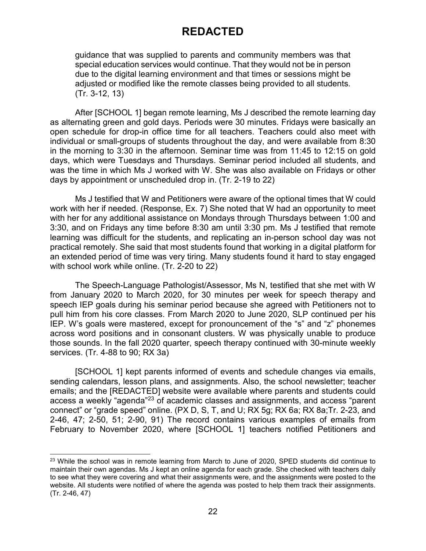guidance that was supplied to parents and community members was that special education services would continue. That they would not be in person due to the digital learning environment and that times or sessions might be adjusted or modified like the remote classes being provided to all students. (Tr. 3-12, 13)

After [SCHOOL 1] began remote learning, Ms J described the remote learning day as alternating green and gold days. Periods were 30 minutes. Fridays were basically an open schedule for drop-in office time for all teachers. Teachers could also meet with individual or small-groups of students throughout the day, and were available from 8:30 in the morning to 3:30 in the afternoon. Seminar time was from 11:45 to 12:15 on gold days, which were Tuesdays and Thursdays. Seminar period included all students, and was the time in which Ms J worked with W. She was also available on Fridays or other days by appointment or unscheduled drop in. (Tr. 2-19 to 22)

Ms J testified that W and Petitioners were aware of the optional times that W could work with her if needed. (Response, Ex. 7) She noted that W had an opportunity to meet with her for any additional assistance on Mondays through Thursdays between 1:00 and 3:30, and on Fridays any time before 8:30 am until 3:30 pm. Ms J testified that remote learning was difficult for the students, and replicating an in-person school day was not practical remotely. She said that most students found that working in a digital platform for an extended period of time was very tiring. Many students found it hard to stay engaged with school work while online. (Tr. 2-20 to 22)

The Speech-Language Pathologist/Assessor, Ms N, testified that she met with W from January 2020 to March 2020, for 30 minutes per week for speech therapy and speech IEP goals during his seminar period because she agreed with Petitioners not to pull him from his core classes. From March 2020 to June 2020, SLP continued per his IEP. W's goals were mastered, except for pronouncement of the "s" and "z" phonemes across word positions and in consonant clusters. W was physically unable to produce those sounds. In the fall 2020 quarter, speech therapy continued with 30-minute weekly services. (Tr. 4-88 to 90; RX 3a)

[SCHOOL 1] kept parents informed of events and schedule changes via emails, sending calendars, lesson plans, and assignments. Also, the school newsletter; teacher emails; and the [REDACTED] website were available where parents and students could access a weekly "agenda"[23](#page-21-0) of academic classes and assignments, and access "parent connect" or "grade speed" online. (PX D, S, T, and U; RX 5g; RX 6a; RX 8a;Tr. 2-23, and 2-46, 47; 2-50, 51; 2-90, 91) The record contains various examples of emails from February to November 2020, where [SCHOOL 1] teachers notified Petitioners and

<span id="page-21-0"></span><sup>&</sup>lt;sup>23</sup> While the school was in remote learning from March to June of 2020, SPED students did continue to maintain their own agendas. Ms J kept an online agenda for each grade. She checked with teachers daily to see what they were covering and what their assignments were, and the assignments were posted to the website. All students were notified of where the agenda was posted to help them track their assignments. (Tr. 2-46, 47)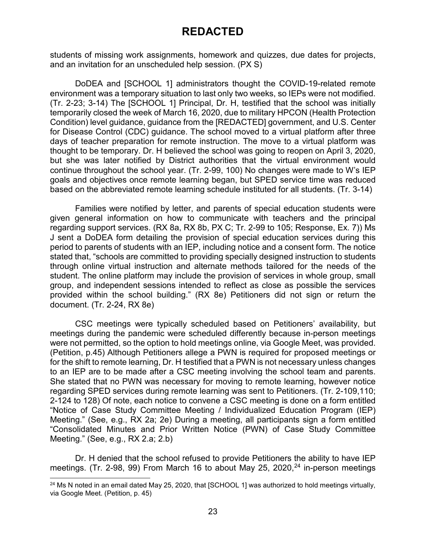students of missing work assignments, homework and quizzes, due dates for projects, and an invitation for an unscheduled help session. (PX S)

DoDEA and [SCHOOL 1] administrators thought the COVID-19-related remote environment was a temporary situation to last only two weeks, so IEPs were not modified. (Tr. 2-23; 3-14) The [SCHOOL 1] Principal, Dr. H, testified that the school was initially temporarily closed the week of March 16, 2020, due to military HPCON (Health Protection Condition) level guidance, guidance from the [REDACTED] government, and U.S. Center for Disease Control (CDC) guidance. The school moved to a virtual platform after three days of teacher preparation for remote instruction. The move to a virtual platform was thought to be temporary. Dr. H believed the school was going to reopen on April 3, 2020, but she was later notified by District authorities that the virtual environment would continue throughout the school year. (Tr. 2-99, 100) No changes were made to W's IEP goals and objectives once remote learning began, but SPED service time was reduced based on the abbreviated remote learning schedule instituted for all students. (Tr. 3-14)

Families were notified by letter, and parents of special education students were given general information on how to communicate with teachers and the principal regarding support services. (RX 8a, RX 8b, PX C; Tr. 2-99 to 105; Response, Ex. 7)) Ms J sent a DoDEA form detailing the provision of special education services during this period to parents of students with an IEP, including notice and a consent form. The notice stated that, "schools are committed to providing specially designed instruction to students through online virtual instruction and alternate methods tailored for the needs of the student. The online platform may include the provision of services in whole group, small group, and independent sessions intended to reflect as close as possible the services provided within the school building." (RX 8e) Petitioners did not sign or return the document. (Tr. 2-24, RX 8e)

CSC meetings were typically scheduled based on Petitioners' availability, but meetings during the pandemic were scheduled differently because in-person meetings were not permitted, so the option to hold meetings online, via Google Meet, was provided. (Petition, p.45) Although Petitioners allege a PWN is required for proposed meetings or for the shift to remote learning, Dr. H testified that a PWN is not necessary unless changes to an IEP are to be made after a CSC meeting involving the school team and parents. She stated that no PWN was necessary for moving to remote learning, however notice regarding SPED services during remote learning was sent to Petitioners. (Tr. 2-109,110; 2-124 to 128) Of note, each notice to convene a CSC meeting is done on a form entitled "Notice of Case Study Committee Meeting / Individualized Education Program (IEP) Meeting." (See, e.g., RX 2a; 2e) During a meeting, all participants sign a form entitled "Consolidated Minutes and Prior Written Notice (PWN) of Case Study Committee Meeting." (See, e.g., RX 2.a; 2.b)

Dr. H denied that the school refused to provide Petitioners the ability to have IEP meetings. (Tr. 2-98, 99) From March 16 to about May 25, 2020,  $24$  in-person meetings

<span id="page-22-0"></span><sup>&</sup>lt;sup>24</sup> Ms N noted in an email dated May 25, 2020, that [SCHOOL 1] was authorized to hold meetings virtually, via Google Meet. (Petition, p. 45)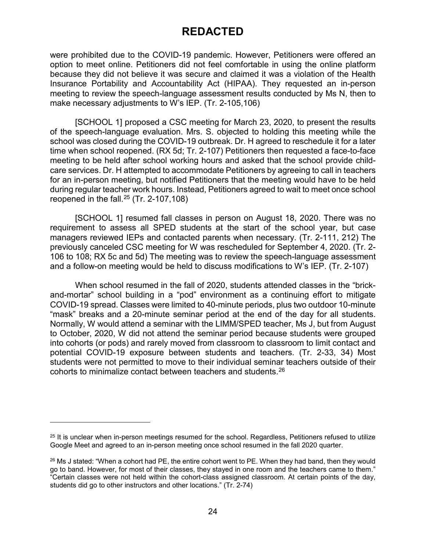were prohibited due to the COVID-19 pandemic. However, Petitioners were offered an option to meet online. Petitioners did not feel comfortable in using the online platform because they did not believe it was secure and claimed it was a violation of the Health Insurance Portability and Accountability Act (HIPAA). They requested an in-person meeting to review the speech-language assessment results conducted by Ms N, then to make necessary adjustments to W's IEP. (Tr. 2-105,106)

[SCHOOL 1] proposed a CSC meeting for March 23, 2020, to present the results of the speech-language evaluation. Mrs. S. objected to holding this meeting while the school was closed during the COVID-19 outbreak. Dr. H agreed to reschedule it for a later time when school reopened. (RX 5d; Tr. 2-107) Petitioners then requested a face-to-face meeting to be held after school working hours and asked that the school provide childcare services. Dr. H attempted to accommodate Petitioners by agreeing to call in teachers for an in-person meeting, but notified Petitioners that the meeting would have to be held during regular teacher work hours. Instead, Petitioners agreed to wait to meet once school reopened in the fall. $25$  (Tr. 2-107,108)

[SCHOOL 1] resumed fall classes in person on August 18, 2020. There was no requirement to assess all SPED students at the start of the school year, but case managers reviewed IEPs and contacted parents when necessary. (Tr. 2-111, 212) The previously canceled CSC meeting for W was rescheduled for September 4, 2020. (Tr. 2- 106 to 108; RX 5c and 5d) The meeting was to review the speech-language assessment and a follow-on meeting would be held to discuss modifications to W's IEP. (Tr. 2-107)

When school resumed in the fall of 2020, students attended classes in the "brickand-mortar" school building in a "pod" environment as a continuing effort to mitigate COVID-19 spread. Classes were limited to 40-minute periods, plus two outdoor 10-minute "mask" breaks and a 20-minute seminar period at the end of the day for all students. Normally, W would attend a seminar with the LIMM/SPED teacher, Ms J, but from August to October, 2020, W did not attend the seminar period because students were grouped into cohorts (or pods) and rarely moved from classroom to classroom to limit contact and potential COVID-19 exposure between students and teachers. (Tr. 2-33, 34) Most students were not permitted to move to their individual seminar teachers outside of their cohorts to minimalize contact between teachers and students.[26](#page-23-1)

-

<span id="page-23-0"></span><sup>&</sup>lt;sup>25</sup> It is unclear when in-person meetings resumed for the school. Regardless, Petitioners refused to utilize Google Meet and agreed to an in-person meeting once school resumed in the fall 2020 quarter.

<span id="page-23-1"></span> $26$  Ms J stated: "When a cohort had PE, the entire cohort went to PE. When they had band, then they would go to band. However, for most of their classes, they stayed in one room and the teachers came to them." "Certain classes were not held within the cohort-class assigned classroom. At certain points of the day, students did go to other instructors and other locations." (Tr. 2-74)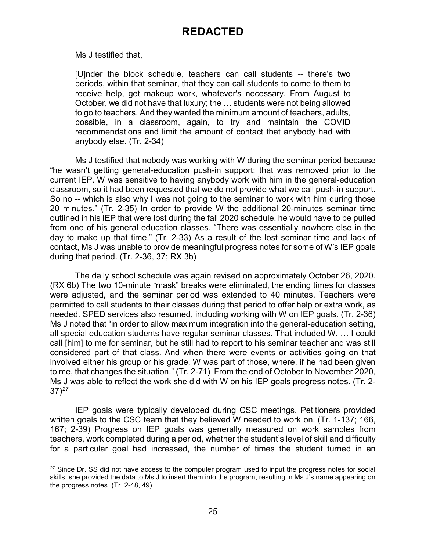Ms J testified that,

[U]nder the block schedule, teachers can call students -- there's two periods, within that seminar, that they can call students to come to them to receive help, get makeup work, whatever's necessary. From August to October, we did not have that luxury; the … students were not being allowed to go to teachers. And they wanted the minimum amount of teachers, adults, possible, in a classroom, again, to try and maintain the COVID recommendations and limit the amount of contact that anybody had with anybody else. (Tr. 2-34)

Ms J testified that nobody was working with W during the seminar period because "he wasn't getting general-education push-in support; that was removed prior to the current IEP. W was sensitive to having anybody work with him in the general-education classroom, so it had been requested that we do not provide what we call push-in support. So no -- which is also why I was not going to the seminar to work with him during those 20 minutes." (Tr. 2-35) In order to provide W the additional 20-minutes seminar time outlined in his IEP that were lost during the fall 2020 schedule, he would have to be pulled from one of his general education classes. "There was essentially nowhere else in the day to make up that time." (Tr. 2-33) As a result of the lost seminar time and lack of contact, Ms J was unable to provide meaningful progress notes for some of W's IEP goals during that period. (Tr. 2-36, 37; RX 3b)

The daily school schedule was again revised on approximately October 26, 2020. (RX 6b) The two 10-minute "mask" breaks were eliminated, the ending times for classes were adjusted, and the seminar period was extended to 40 minutes. Teachers were permitted to call students to their classes during that period to offer help or extra work, as needed. SPED services also resumed, including working with W on IEP goals. (Tr. 2-36) Ms J noted that "in order to allow maximum integration into the general-education setting, all special education students have regular seminar classes. That included W. … I could call [him] to me for seminar, but he still had to report to his seminar teacher and was still considered part of that class. And when there were events or activities going on that involved either his group or his grade, W was part of those, where, if he had been given to me, that changes the situation." (Tr. 2-71) From the end of October to November 2020, Ms J was able to reflect the work she did with W on his IEP goals progress notes. (Tr. 2-  $37)$ <sup>[27](#page-24-0)</sup>

IEP goals were typically developed during CSC meetings. Petitioners provided written goals to the CSC team that they believed W needed to work on. (Tr. 1-137; 166, 167; 2-39) Progress on IEP goals was generally measured on work samples from teachers, work completed during a period, whether the student's level of skill and difficulty for a particular goal had increased, the number of times the student turned in an

<span id="page-24-0"></span><sup>&</sup>lt;sup>27</sup> Since Dr. SS did not have access to the computer program used to input the progress notes for social skills, she provided the data to Ms J to insert them into the program, resulting in Ms J's name appearing on the progress notes. (Tr. 2-48, 49)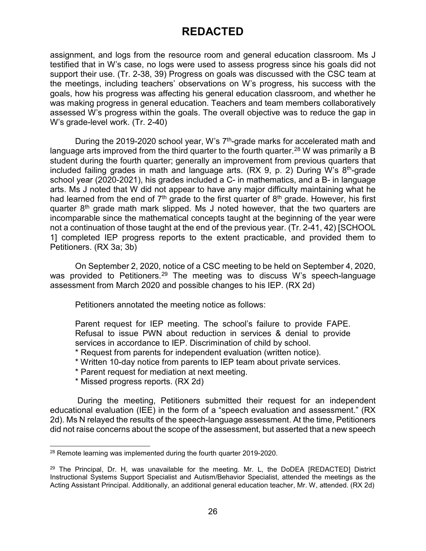assignment, and logs from the resource room and general education classroom. Ms J testified that in W's case, no logs were used to assess progress since his goals did not support their use. (Tr. 2-38, 39) Progress on goals was discussed with the CSC team at the meetings, including teachers' observations on W's progress, his success with the goals, how his progress was affecting his general education classroom, and whether he was making progress in general education. Teachers and team members collaboratively assessed W's progress within the goals. The overall objective was to reduce the gap in W's grade-level work. (Tr. 2-40)

During the 2019-2020 school year, W's 7<sup>th</sup>-grade marks for accelerated math and language arts improved from the third quarter to the fourth quarter.<sup>[28](#page-25-0)</sup> W was primarily a B student during the fourth quarter; generally an improvement from previous quarters that included failing grades in math and language arts.  $(RX 9, p. 2)$  During W's  $8<sup>th</sup>$ -grade school year (2020-2021), his grades included a C- in mathematics, and a B- in language arts. Ms J noted that W did not appear to have any major difficulty maintaining what he had learned from the end of  $7<sup>th</sup>$  grade to the first quarter of  $8<sup>th</sup>$  grade. However, his first quarter  $8<sup>th</sup>$  grade math mark slipped. Ms J noted however, that the two quarters are incomparable since the mathematical concepts taught at the beginning of the year were not a continuation of those taught at the end of the previous year. (Tr. 2-41, 42) [SCHOOL 1] completed IEP progress reports to the extent practicable, and provided them to Petitioners. (RX 3a; 3b)

On September 2, 2020, notice of a CSC meeting to be held on September 4, 2020, was provided to Petitioners.<sup>[29](#page-25-1)</sup> The meeting was to discuss W's speech-language assessment from March 2020 and possible changes to his IEP. (RX 2d)

Petitioners annotated the meeting notice as follows:

Parent request for IEP meeting. The school's failure to provide FAPE. Refusal to issue PWN about reduction in services & denial to provide services in accordance to IEP. Discrimination of child by school.

- \* Request from parents for independent evaluation (written notice).
- \* Written 10-day notice from parents to IEP team about private services.
- \* Parent request for mediation at next meeting.
- \* Missed progress reports. (RX 2d)

During the meeting, Petitioners submitted their request for an independent educational evaluation (IEE) in the form of a "speech evaluation and assessment." (RX 2d). Ms N relayed the results of the speech-language assessment. At the time, Petitioners did not raise concerns about the scope of the assessment, but asserted that a new speech

<span id="page-25-0"></span> <sup>28</sup> Remote learning was implemented during the fourth quarter 2019-2020.

<span id="page-25-1"></span> $29$  The Principal, Dr. H, was unavailable for the meeting. Mr. L, the DoDEA [REDACTED] District Instructional Systems Support Specialist and Autism/Behavior Specialist, attended the meetings as the Acting Assistant Principal. Additionally, an additional general education teacher, Mr. W, attended. (RX 2d)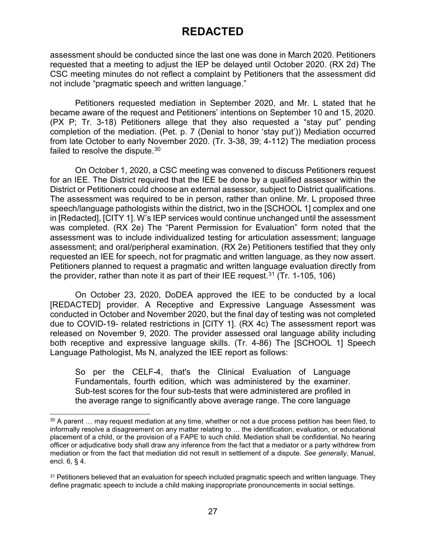assessment should be conducted since the last one was done in March 2020. Petitioners requested that a meeting to adjust the IEP be delayed until October 2020. (RX 2d) The CSC meeting minutes do not reflect a complaint by Petitioners that the assessment did not include "pragmatic speech and written language."

Petitioners requested mediation in September 2020, and Mr. L stated that he became aware of the request and Petitioners' intentions on September 10 and 15, 2020. (PX P; Tr. 3-18) Petitioners allege that they also requested a "stay put" pending completion of the mediation. (Pet. p. 7 (Denial to honor 'stay put')) Mediation occurred from late October to early November 2020. (Tr. 3-38, 39; 4-112) The mediation process failed to resolve the dispute.<sup>[30](#page-26-0)</sup>

On October 1, 2020, a CSC meeting was convened to discuss Petitioners request for an IEE. The District required that the IEE be done by a qualified assessor within the District or Petitioners could choose an external assessor, subject to District qualifications. The assessment was required to be in person, rather than online. Mr. L proposed three speech/language pathologists within the district, two in the [SCHOOL 1] complex and one in [Redacted], [CITY 1]. W's IEP services would continue unchanged until the assessment was completed. (RX 2e) The "Parent Permission for Evaluation" form noted that the assessment was to include individualized testing for articulation assessment; language assessment; and oral/peripheral examination. (RX 2e) Petitioners testified that they only requested an IEE for speech, not for pragmatic and written language, as they now assert. Petitioners planned to request a pragmatic and written language evaluation directly from the provider, rather than note it as part of their IEE request.<sup>[31](#page-26-1)</sup> (Tr. 1-105, 106)

On October 23, 2020, DoDEA approved the IEE to be conducted by a local [REDACTED] provider. A Receptive and Expressive Language Assessment was conducted in October and November 2020, but the final day of testing was not completed due to COVID-19- related restrictions in [CITY 1]. (RX 4c) The assessment report was released on November 9, 2020. The provider assessed oral language ability including both receptive and expressive language skills. (Tr. 4-86) The [SCHOOL 1] Speech Language Pathologist, Ms N, analyzed the IEE report as follows:

So per the CELF-4, that's the Clinical Evaluation of Language Fundamentals, fourth edition, which was administered by the examiner. Sub-test scores for the four sub-tests that were administered are profiled in the average range to significantly above average range. The core language

<span id="page-26-0"></span><sup>&</sup>lt;sup>30</sup> A parent ... may request mediation at any time, whether or not a due process petition has been filed, to informally resolve a disagreement on any matter relating to … the identification, evaluation, or educational placement of a child, or the provision of a FAPE to such child. Mediation shall be confidential. No hearing officer or adjudicative body shall draw any inference from the fact that a mediator or a party withdrew from mediation or from the fact that mediation did not result in settlement of a dispute. *See generally*, Manual, encl. 6, § 4.

<span id="page-26-1"></span><sup>&</sup>lt;sup>31</sup> Petitioners believed that an evaluation for speech included pragmatic speech and written language. They define pragmatic speech to include a child making inappropriate pronouncements in social settings.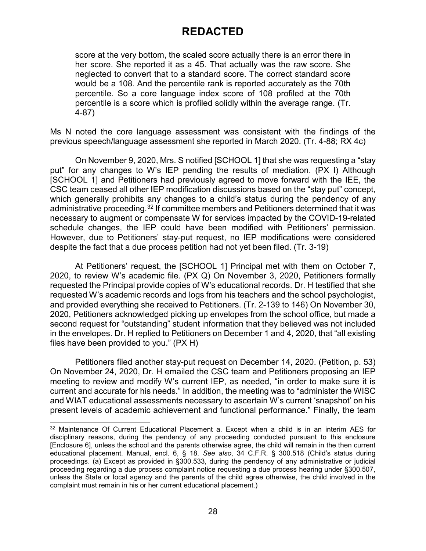score at the very bottom, the scaled score actually there is an error there in her score. She reported it as a 45. That actually was the raw score. She neglected to convert that to a standard score. The correct standard score would be a 108. And the percentile rank is reported accurately as the 70th percentile. So a core language index score of 108 profiled at the 70th percentile is a score which is profiled solidly within the average range. (Tr. 4-87)

Ms N noted the core language assessment was consistent with the findings of the previous speech/language assessment she reported in March 2020. (Tr. 4-88; RX 4c)

On November 9, 2020, Mrs. S notified [SCHOOL 1] that she was requesting a "stay put" for any changes to W's IEP pending the results of mediation. (PX I) Although [SCHOOL 1] and Petitioners had previously agreed to move forward with the IEE, the CSC team ceased all other IEP modification discussions based on the "stay put" concept, which generally prohibits any changes to a child's status during the pendency of any administrative proceeding.<sup>[32](#page-27-0)</sup> If committee members and Petitioners determined that it was necessary to augment or compensate W for services impacted by the COVID-19-related schedule changes, the IEP could have been modified with Petitioners' permission. However, due to Petitioners' stay-put request, no IEP modifications were considered despite the fact that a due process petition had not yet been filed. (Tr. 3-19)

At Petitioners' request, the [SCHOOL 1] Principal met with them on October 7, 2020, to review W's academic file. (PX Q) On November 3, 2020, Petitioners formally requested the Principal provide copies of W's educational records. Dr. H testified that she requested W's academic records and logs from his teachers and the school psychologist, and provided everything she received to Petitioners. (Tr. 2-139 to 146) On November 30, 2020, Petitioners acknowledged picking up envelopes from the school office, but made a second request for "outstanding" student information that they believed was not included in the envelopes. Dr. H replied to Petitioners on December 1 and 4, 2020, that "all existing files have been provided to you." (PX H)

Petitioners filed another stay-put request on December 14, 2020. (Petition, p. 53) On November 24, 2020, Dr. H emailed the CSC team and Petitioners proposing an IEP meeting to review and modify W's current IEP, as needed, "in order to make sure it is current and accurate for his needs." In addition, the meeting was to "administer the WISC and WIAT educational assessments necessary to ascertain W's current 'snapshot' on his present levels of academic achievement and functional performance." Finally, the team

<span id="page-27-0"></span> <sup>32</sup> Maintenance Of Current Educational Placement a. Except when a child is in an interim AES for disciplinary reasons, during the pendency of any proceeding conducted pursuant to this enclosure [Enclosure 6], unless the school and the parents otherwise agree, the child will remain in the then current educational placement. Manual, encl. 6, § 18. *See also*, 34 C.F.R. § 300.518 (Child's status during proceedings. (a) Except as provided in §300.533, during the pendency of any administrative or judicial proceeding regarding a due process complaint notice requesting a due process hearing under §300.507, unless the State or local agency and the parents of the child agree otherwise, the child involved in the complaint must remain in his or her current educational placement.)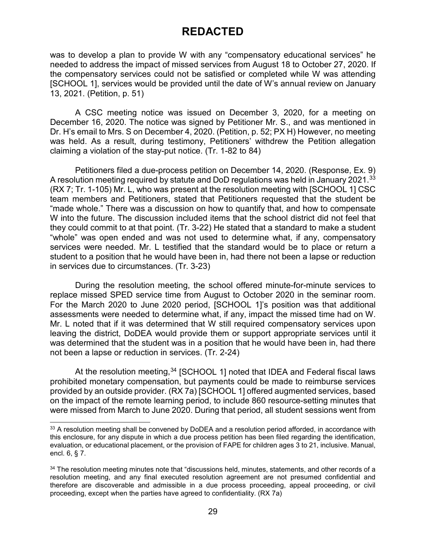was to develop a plan to provide W with any "compensatory educational services" he needed to address the impact of missed services from August 18 to October 27, 2020. If the compensatory services could not be satisfied or completed while W was attending [SCHOOL 1], services would be provided until the date of W's annual review on January 13, 2021. (Petition, p. 51)

A CSC meeting notice was issued on December 3, 2020, for a meeting on December 16, 2020. The notice was signed by Petitioner Mr. S., and was mentioned in Dr. H's email to Mrs. S on December 4, 2020. (Petition, p. 52; PX H) However, no meeting was held. As a result, during testimony, Petitioners' withdrew the Petition allegation claiming a violation of the stay-put notice. (Tr. 1-82 to 84)

Petitioners filed a due-process petition on December 14, 2020. (Response, Ex. 9) A resolution meeting required by statute and DoD regulations was held in January 2021.<sup>[33](#page-28-0)</sup> (RX 7; Tr. 1-105) Mr. L, who was present at the resolution meeting with [SCHOOL 1] CSC team members and Petitioners, stated that Petitioners requested that the student be "made whole." There was a discussion on how to quantify that, and how to compensate W into the future. The discussion included items that the school district did not feel that they could commit to at that point. (Tr. 3-22) He stated that a standard to make a student "whole" was open ended and was not used to determine what, if any, compensatory services were needed. Mr. L testified that the standard would be to place or return a student to a position that he would have been in, had there not been a lapse or reduction in services due to circumstances. (Tr. 3-23)

During the resolution meeting, the school offered minute-for-minute services to replace missed SPED service time from August to October 2020 in the seminar room. For the March 2020 to June 2020 period, [SCHOOL 1]'s position was that additional assessments were needed to determine what, if any, impact the missed time had on W. Mr. L noted that if it was determined that W still required compensatory services upon leaving the district, DoDEA would provide them or support appropriate services until it was determined that the student was in a position that he would have been in, had there not been a lapse or reduction in services. (Tr. 2-24)

At the resolution meeting,<sup>[34](#page-28-1)</sup> [SCHOOL 1] noted that IDEA and Federal fiscal laws prohibited monetary compensation, but payments could be made to reimburse services provided by an outside provider. (RX 7a) [SCHOOL 1] offered augmented services, based on the impact of the remote learning period, to include 860 resource-setting minutes that were missed from March to June 2020. During that period, all student sessions went from

<span id="page-28-0"></span><sup>33</sup> A resolution meeting shall be convened by DoDEA and a resolution period afforded, in accordance with this enclosure, for any dispute in which a due process petition has been filed regarding the identification, evaluation, or educational placement, or the provision of FAPE for children ages 3 to 21, inclusive. Manual, encl. 6, § 7.

<span id="page-28-1"></span><sup>&</sup>lt;sup>34</sup> The resolution meeting minutes note that "discussions held, minutes, statements, and other records of a resolution meeting, and any final executed resolution agreement are not presumed confidential and therefore are discoverable and admissible in a due process proceeding, appeal proceeding, or civil proceeding, except when the parties have agreed to confidentiality. (RX 7a)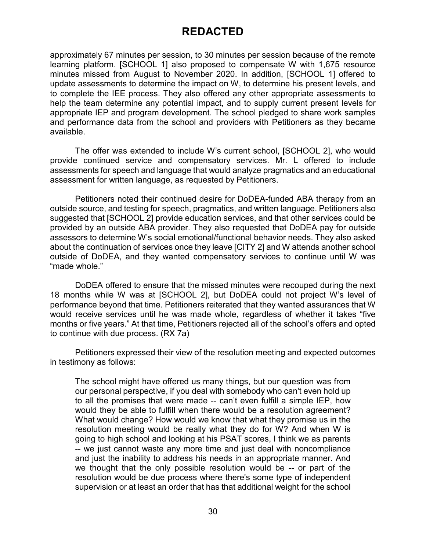approximately 67 minutes per session, to 30 minutes per session because of the remote learning platform. [SCHOOL 1] also proposed to compensate W with 1,675 resource minutes missed from August to November 2020. In addition, [SCHOOL 1] offered to update assessments to determine the impact on W, to determine his present levels, and to complete the IEE process. They also offered any other appropriate assessments to help the team determine any potential impact, and to supply current present levels for appropriate IEP and program development. The school pledged to share work samples and performance data from the school and providers with Petitioners as they became available.

The offer was extended to include W's current school, [SCHOOL 2], who would provide continued service and compensatory services. Mr. L offered to include assessments for speech and language that would analyze pragmatics and an educational assessment for written language, as requested by Petitioners.

Petitioners noted their continued desire for DoDEA-funded ABA therapy from an outside source, and testing for speech, pragmatics, and written language. Petitioners also suggested that [SCHOOL 2] provide education services, and that other services could be provided by an outside ABA provider. They also requested that DoDEA pay for outside assessors to determine W's social emotional/functional behavior needs. They also asked about the continuation of services once they leave [CITY 2] and W attends another school outside of DoDEA, and they wanted compensatory services to continue until W was "made whole."

DoDEA offered to ensure that the missed minutes were recouped during the next 18 months while W was at [SCHOOL 2], but DoDEA could not project W's level of performance beyond that time. Petitioners reiterated that they wanted assurances that W would receive services until he was made whole, regardless of whether it takes "five months or five years." At that time, Petitioners rejected all of the school's offers and opted to continue with due process. (RX 7a)

Petitioners expressed their view of the resolution meeting and expected outcomes in testimony as follows:

The school might have offered us many things, but our question was from our personal perspective, if you deal with somebody who can't even hold up to all the promises that were made -- can't even fulfill a simple IEP, how would they be able to fulfill when there would be a resolution agreement? What would change? How would we know that what they promise us in the resolution meeting would be really what they do for W? And when W is going to high school and looking at his PSAT scores, I think we as parents -- we just cannot waste any more time and just deal with noncompliance and just the inability to address his needs in an appropriate manner. And we thought that the only possible resolution would be -- or part of the resolution would be due process where there's some type of independent supervision or at least an order that has that additional weight for the school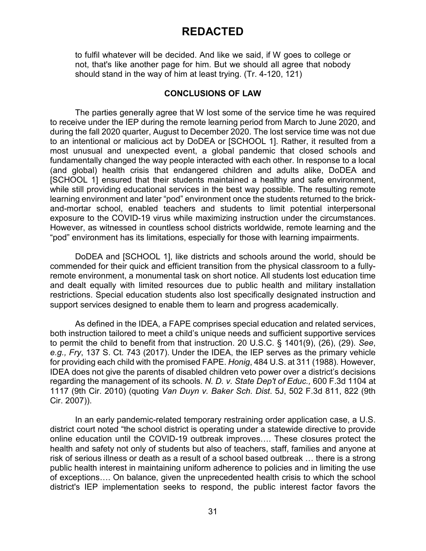to fulfil whatever will be decided. And like we said, if W goes to college or not, that's like another page for him. But we should all agree that nobody should stand in the way of him at least trying. (Tr. 4-120, 121)

#### **CONCLUSIONS OF LAW**

The parties generally agree that W lost some of the service time he was required to receive under the IEP during the remote learning period from March to June 2020, and during the fall 2020 quarter, August to December 2020. The lost service time was not due to an intentional or malicious act by DoDEA or [SCHOOL 1]. Rather, it resulted from a most unusual and unexpected event, a global pandemic that closed schools and fundamentally changed the way people interacted with each other. In response to a local (and global) health crisis that endangered children and adults alike, DoDEA and [SCHOOL 1] ensured that their students maintained a healthy and safe environment, while still providing educational services in the best way possible. The resulting remote learning environment and later "pod" environment once the students returned to the brickand-mortar school, enabled teachers and students to limit potential interpersonal exposure to the COVID-19 virus while maximizing instruction under the circumstances. However, as witnessed in countless school districts worldwide, remote learning and the "pod" environment has its limitations, especially for those with learning impairments.

DoDEA and [SCHOOL 1], like districts and schools around the world, should be commended for their quick and efficient transition from the physical classroom to a fullyremote environment, a monumental task on short notice. All students lost education time and dealt equally with limited resources due to public health and military installation restrictions. Special education students also lost specifically designated instruction and support services designed to enable them to learn and progress academically.

As defined in the IDEA, a FAPE comprises special education and related services, both instruction tailored to meet a child's unique needs and sufficient supportive services to permit the child to benefit from that instruction. 20 U.S.C. § 1401(9), (26), (29). *See*, *e.g., Fry*, 137 S. Ct. 743 (2017). Under the IDEA, the IEP serves as the primary vehicle for providing each child with the promised FAPE. *Honig*, 484 U.S. at 311 (1988). However, IDEA does not give the parents of disabled children veto power over a district's decisions regarding the management of its schools. *N. D. v. State Dep't of Educ.,* 600 F.3d 1104 at 1117 (9th Cir. 2010) (quoting *Van Duyn v. Baker Sch. Dist*. 5J, 502 F.3d 811, 822 (9th Cir. 2007)).

In an early pandemic-related temporary restraining order application case, a U.S. district court noted "the school district is operating under a statewide directive to provide online education until the COVID-19 outbreak improves…. These closures protect the health and safety not only of students but also of teachers, staff, families and anyone at risk of serious illness or death as a result of a school based outbreak … there is a strong public health interest in maintaining uniform adherence to policies and in limiting the use of exceptions…. On balance, given the unprecedented health crisis to which the school district's IEP implementation seeks to respond, the public interest factor favors the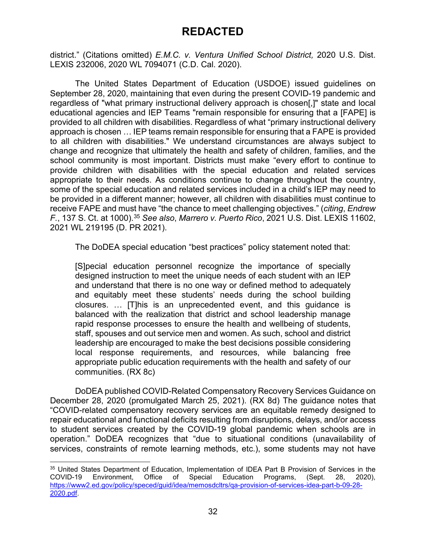district." (Citations omitted) *E.M.C. v. Ventura Unified School District,* 2020 U.S. Dist. LEXIS 232006, 2020 WL 7094071 (C.D. Cal. 2020).

The United States Department of Education (USDOE) issued guidelines on September 28, 2020, maintaining that even during the present COVID-19 pandemic and regardless of "what primary instructional delivery approach is chosen[,]" state and local educational agencies and IEP Teams "remain responsible for ensuring that a [FAPE] is provided to all children with disabilities. Regardless of what "primary instructional delivery approach is chosen … IEP teams remain responsible for ensuring that a FAPE is provided to all children with disabilities." We understand circumstances are always subject to change and recognize that ultimately the health and safety of children, families, and the school community is most important. Districts must make "every effort to continue to provide children with disabilities with the special education and related services appropriate to their needs. As conditions continue to change throughout the country, some of the special education and related services included in a child's IEP may need to be provided in a different manner; however, all children with disabilities must continue to receive FAPE and must have "the chance to meet challenging objectives." (*citing*, *Endrew F.*, 137 S. Ct. at 1000). [35](#page-31-0) *See also*, *Marrero v. Puerto Rico*, 2021 U.S. Dist. LEXIS 11602, 2021 WL 219195 (D. PR 2021).

The DoDEA special education "best practices" policy statement noted that:

[S]pecial education personnel recognize the importance of specially designed instruction to meet the unique needs of each student with an IEP and understand that there is no one way or defined method to adequately and equitably meet these students' needs during the school building closures. … [T]his is an unprecedented event, and this guidance is balanced with the realization that district and school leadership manage rapid response processes to ensure the health and wellbeing of students, staff, spouses and out service men and women. As such, school and district leadership are encouraged to make the best decisions possible considering local response requirements, and resources, while balancing free appropriate public education requirements with the health and safety of our communities. (RX 8c)

DoDEA published COVID-Related Compensatory Recovery Services Guidance on December 28, 2020 (promulgated March 25, 2021). (RX 8d) The guidance notes that "COVID-related compensatory recovery services are an equitable remedy designed to repair educational and functional deficits resulting from disruptions, delays, and/or access to student services created by the COVID-19 global pandemic when schools are in operation." DoDEA recognizes that "due to situational conditions (unavailability of services, constraints of remote learning methods, etc.), some students may not have

<span id="page-31-0"></span> <sup>35</sup> United States Department of Education, Implementation of IDEA Part B Provision of Services in the COVID-19 Environment, Office of Special Education Programs, (Sept. 28, 2020), [https://www2.ed.gov/policy/speced/guid/idea/memosdcltrs/qa-provision-of-services-idea-part-b-09-28-](https://www2.ed.gov/policy/speced/guid/idea/memosdcltrs/qa-provision-of-services-idea-part-b-09-28-2020.pdf) [2020.pdf.](https://www2.ed.gov/policy/speced/guid/idea/memosdcltrs/qa-provision-of-services-idea-part-b-09-28-2020.pdf)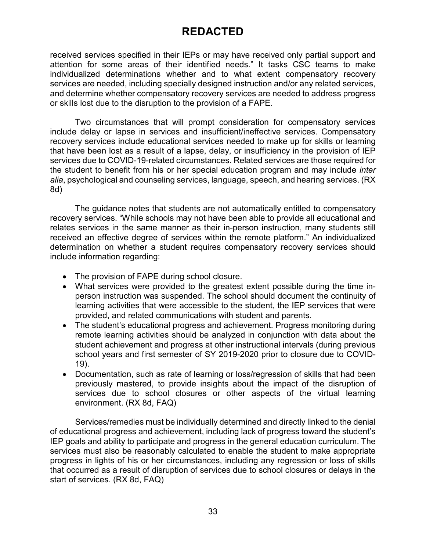received services specified in their IEPs or may have received only partial support and attention for some areas of their identified needs." It tasks CSC teams to make individualized determinations whether and to what extent compensatory recovery services are needed, including specially designed instruction and/or any related services, and determine whether compensatory recovery services are needed to address progress or skills lost due to the disruption to the provision of a FAPE.

Two circumstances that will prompt consideration for compensatory services include delay or lapse in services and insufficient/ineffective services. Compensatory recovery services include educational services needed to make up for skills or learning that have been lost as a result of a lapse, delay, or insufficiency in the provision of IEP services due to COVID-19-related circumstances. Related services are those required for the student to benefit from his or her special education program and may include *inter alia*, psychological and counseling services, language, speech, and hearing services. (RX 8d)

The guidance notes that students are not automatically entitled to compensatory recovery services. "While schools may not have been able to provide all educational and relates services in the same manner as their in-person instruction, many students still received an effective degree of services within the remote platform." An individualized determination on whether a student requires compensatory recovery services should include information regarding:

- The provision of FAPE during school closure.
- What services were provided to the greatest extent possible during the time inperson instruction was suspended. The school should document the continuity of learning activities that were accessible to the student, the IEP services that were provided, and related communications with student and parents.
- The student's educational progress and achievement. Progress monitoring during remote learning activities should be analyzed in conjunction with data about the student achievement and progress at other instructional intervals (during previous school years and first semester of SY 2019-2020 prior to closure due to COVID-19).
- Documentation, such as rate of learning or loss/regression of skills that had been previously mastered, to provide insights about the impact of the disruption of services due to school closures or other aspects of the virtual learning environment. (RX 8d, FAQ)

Services/remedies must be individually determined and directly linked to the denial of educational progress and achievement, including lack of progress toward the student's IEP goals and ability to participate and progress in the general education curriculum. The services must also be reasonably calculated to enable the student to make appropriate progress in lights of his or her circumstances, including any regression or loss of skills that occurred as a result of disruption of services due to school closures or delays in the start of services. (RX 8d, FAQ)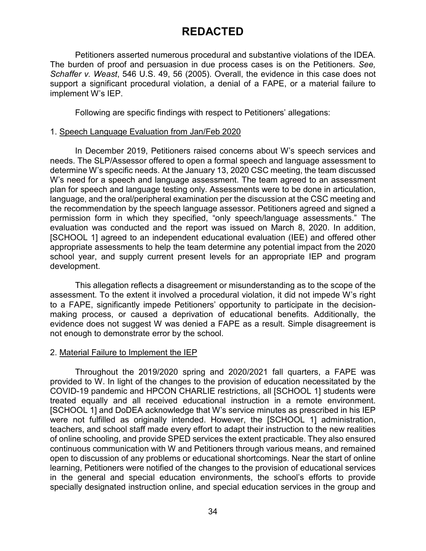Petitioners asserted numerous procedural and substantive violations of the IDEA. The burden of proof and persuasion in due process cases is on the Petitioners. *See, Schaffer v. Weast*, 546 U.S. 49, 56 (2005). Overall, the evidence in this case does not support a significant procedural violation, a denial of a FAPE, or a material failure to implement W's IEP.

Following are specific findings with respect to Petitioners' allegations:

#### 1. Speech Language Evaluation from Jan/Feb 2020

In December 2019, Petitioners raised concerns about W's speech services and needs. The SLP/Assessor offered to open a formal speech and language assessment to determine W's specific needs. At the January 13, 2020 CSC meeting, the team discussed W's need for a speech and language assessment. The team agreed to an assessment plan for speech and language testing only. Assessments were to be done in articulation, language, and the oral/peripheral examination per the discussion at the CSC meeting and the recommendation by the speech language assessor. Petitioners agreed and signed a permission form in which they specified, "only speech/language assessments." The evaluation was conducted and the report was issued on March 8, 2020. In addition, [SCHOOL 1] agreed to an independent educational evaluation (IEE) and offered other appropriate assessments to help the team determine any potential impact from the 2020 school year, and supply current present levels for an appropriate IEP and program development.

This allegation reflects a disagreement or misunderstanding as to the scope of the assessment. To the extent it involved a procedural violation, it did not impede W's right to a FAPE, significantly impede Petitioners' opportunity to participate in the decisionmaking process, or caused a deprivation of educational benefits. Additionally, the evidence does not suggest W was denied a FAPE as a result. Simple disagreement is not enough to demonstrate error by the school.

### 2. Material Failure to Implement the IEP

Throughout the 2019/2020 spring and 2020/2021 fall quarters, a FAPE was provided to W. In light of the changes to the provision of education necessitated by the COVID-19 pandemic and HPCON CHARLIE restrictions, all [SCHOOL 1] students were treated equally and all received educational instruction in a remote environment. [SCHOOL 1] and DoDEA acknowledge that W's service minutes as prescribed in his IEP were not fulfilled as originally intended. However, the [SCHOOL 1] administration, teachers, and school staff made every effort to adapt their instruction to the new realities of online schooling, and provide SPED services the extent practicable. They also ensured continuous communication with W and Petitioners through various means, and remained open to discussion of any problems or educational shortcomings. Near the start of online learning, Petitioners were notified of the changes to the provision of educational services in the general and special education environments, the school's efforts to provide specially designated instruction online, and special education services in the group and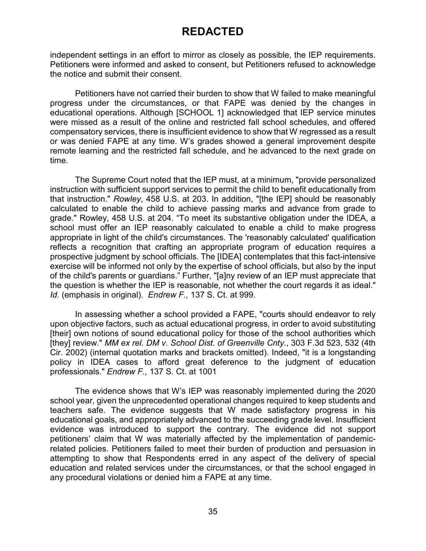independent settings in an effort to mirror as closely as possible, the IEP requirements. Petitioners were informed and asked to consent, but Petitioners refused to acknowledge the notice and submit their consent.

Petitioners have not carried their burden to show that W failed to make meaningful progress under the circumstances, or that FAPE was denied by the changes in educational operations. Although [SCHOOL 1] acknowledged that IEP service minutes were missed as a result of the online and restricted fall school schedules, and offered compensatory services, there is insufficient evidence to show that W regressed as a result or was denied FAPE at any time. W's grades showed a general improvement despite remote learning and the restricted fall schedule, and he advanced to the next grade on time.

The Supreme Court noted that the IEP must, at a minimum, "provide personalized instruction with sufficient support services to permit the child to benefit educationally from that instruction." *Rowley*, 458 U.S. at 203. In addition, "[the IEP] should be reasonably calculated to enable the child to achieve passing marks and advance from grade to grade." Rowley, 458 U.S. at 204. "To meet its substantive obligation under the IDEA, a school must offer an IEP reasonably calculated to enable a child to make progress appropriate in light of the child's circumstances. The 'reasonably calculated' qualification reflects a recognition that crafting an appropriate program of education requires a prospective judgment by school officials. The [IDEA] contemplates that this fact-intensive exercise will be informed not only by the expertise of school officials, but also by the input of the child's parents or guardians." Further, "[a]ny review of an IEP must appreciate that the question is whether the IEP is reasonable, not whether the court regards it as ideal." *Id.* (emphasis in original). *Endrew F.,* 137 S. Ct. at 999.

In assessing whether a school provided a FAPE, "courts should endeavor to rely upon objective factors, such as actual educational progress, in order to avoid substituting [their] own notions of sound educational policy for those of the school authorities which [they] review." *MM ex rel. DM v. School Dist. of Greenville Cnty*., 303 F.3d 523, 532 (4th Cir. 2002) (internal quotation marks and brackets omitted). Indeed, "it is a longstanding policy in IDEA cases to afford great deference to the judgment of education professionals." *Endrew F.,* 137 S. Ct. at 1001

The evidence shows that W's IEP was reasonably implemented during the 2020 school year, given the unprecedented operational changes required to keep students and teachers safe. The evidence suggests that W made satisfactory progress in his educational goals, and appropriately advanced to the succeeding grade level. Insufficient evidence was introduced to support the contrary. The evidence did not support petitioners' claim that W was materially affected by the implementation of pandemicrelated policies. Petitioners failed to meet their burden of production and persuasion in attempting to show that Respondents erred in any aspect of the delivery of special education and related services under the circumstances, or that the school engaged in any procedural violations or denied him a FAPE at any time.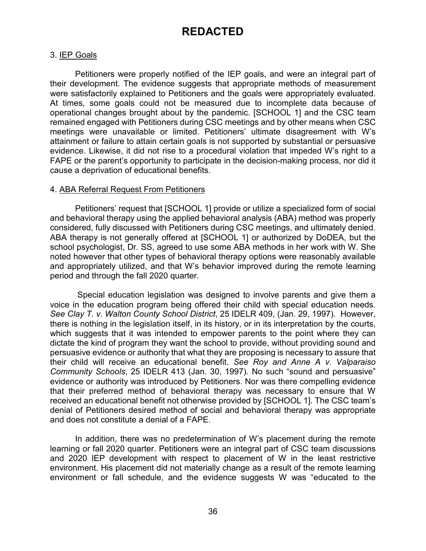### 3. IEP Goals

Petitioners were properly notified of the IEP goals, and were an integral part of their development. The evidence suggests that appropriate methods of measurement were satisfactorily explained to Petitioners and the goals were appropriately evaluated. At times, some goals could not be measured due to incomplete data because of operational changes brought about by the pandemic. [SCHOOL 1] and the CSC team remained engaged with Petitioners during CSC meetings and by other means when CSC meetings were unavailable or limited. Petitioners' ultimate disagreement with W's attainment or failure to attain certain goals is not supported by substantial or persuasive evidence. Likewise, it did not rise to a procedural violation that impeded W's right to a FAPE or the parent's opportunity to participate in the decision-making process, nor did it cause a deprivation of educational benefits.

#### 4. ABA Referral Request From Petitioners

Petitioners' request that [SCHOOL 1] provide or utilize a specialized form of social and behavioral therapy using the applied behavioral analysis (ABA) method was properly considered, fully discussed with Petitioners during CSC meetings, and ultimately denied. ABA therapy is not generally offered at [SCHOOL 1] or authorized by DoDEA, but the school psychologist, Dr. SS, agreed to use some ABA methods in her work with W. She noted however that other types of behavioral therapy options were reasonably available and appropriately utilized, and that W's behavior improved during the remote learning period and through the fall 2020 quarter.

Special education legislation was designed to involve parents and give them a voice in the education program being offered their child with special education needs. *See Clay T. v. Walton County School District*, 25 IDELR 409, (Jan. 29, 1997). However, there is nothing in the legislation itself, in its history, or in its interpretation by the courts, which suggests that it was intended to empower parents to the point where they can dictate the kind of program they want the school to provide, without providing sound and persuasive evidence or authority that what they are proposing is necessary to assure that their child will receive an educational benefit. *See Roy and Anne A v. Valparaiso Community Schools*, 25 IDELR 413 (Jan. 30, 1997). No such "sound and persuasive" evidence or authority was introduced by Petitioners. Nor was there compelling evidence that their preferred method of behavioral therapy was necessary to ensure that W received an educational benefit not otherwise provided by [SCHOOL 1]. The CSC team's denial of Petitioners desired method of social and behavioral therapy was appropriate and does not constitute a denial of a FAPE.

In addition, there was no predetermination of W's placement during the remote learning or fall 2020 quarter. Petitioners were an integral part of CSC team discussions and 2020 IEP development with respect to placement of W in the least restrictive environment. His placement did not materially change as a result of the remote learning environment or fall schedule, and the evidence suggests W was "educated to the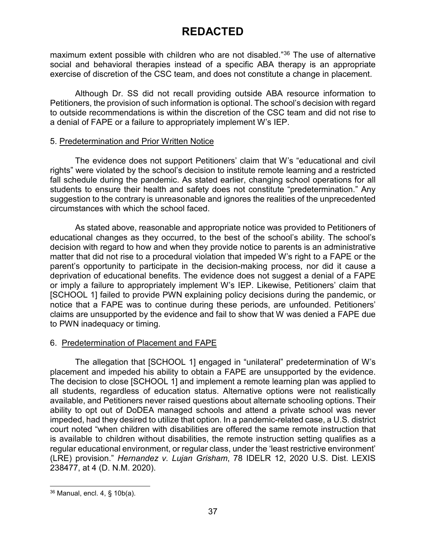maximum extent possible with children who are not disabled."[36](#page-36-0) The use of alternative social and behavioral therapies instead of a specific ABA therapy is an appropriate exercise of discretion of the CSC team, and does not constitute a change in placement.

Although Dr. SS did not recall providing outside ABA resource information to Petitioners, the provision of such information is optional. The school's decision with regard to outside recommendations is within the discretion of the CSC team and did not rise to a denial of FAPE or a failure to appropriately implement W's IEP.

### 5. Predetermination and Prior Written Notice

The evidence does not support Petitioners' claim that W's "educational and civil rights" were violated by the school's decision to institute remote learning and a restricted fall schedule during the pandemic. As stated earlier, changing school operations for all students to ensure their health and safety does not constitute "predetermination." Any suggestion to the contrary is unreasonable and ignores the realities of the unprecedented circumstances with which the school faced.

As stated above, reasonable and appropriate notice was provided to Petitioners of educational changes as they occurred, to the best of the school's ability. The school's decision with regard to how and when they provide notice to parents is an administrative matter that did not rise to a procedural violation that impeded W's right to a FAPE or the parent's opportunity to participate in the decision-making process, nor did it cause a deprivation of educational benefits. The evidence does not suggest a denial of a FAPE or imply a failure to appropriately implement W's IEP. Likewise, Petitioners' claim that [SCHOOL 1] failed to provide PWN explaining policy decisions during the pandemic, or notice that a FAPE was to continue during these periods, are unfounded. Petitioners' claims are unsupported by the evidence and fail to show that W was denied a FAPE due to PWN inadequacy or timing.

### 6. Predetermination of Placement and FAPE

The allegation that [SCHOOL 1] engaged in "unilateral" predetermination of W's placement and impeded his ability to obtain a FAPE are unsupported by the evidence. The decision to close [SCHOOL 1] and implement a remote learning plan was applied to all students, regardless of education status. Alternative options were not realistically available, and Petitioners never raised questions about alternate schooling options. Their ability to opt out of DoDEA managed schools and attend a private school was never impeded, had they desired to utilize that option. In a pandemic-related case, a U.S. district court noted "when children with disabilities are offered the same remote instruction that is available to children without disabilities, the remote instruction setting qualifies as a regular educational environment, or regular class, under the 'least restrictive environment' (LRE) provision." *Hernandez v. Lujan Grisham*, 78 IDELR 12, 2020 U.S. Dist. LEXIS 238477, at 4 (D. N.M. 2020).

<span id="page-36-0"></span> <sup>36</sup> Manual, encl. 4, § 10b(a).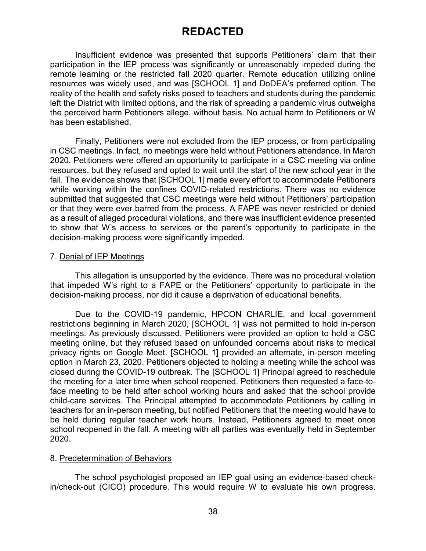Insufficient evidence was presented that supports Petitioners' claim that their participation in the IEP process was significantly or unreasonably impeded during the remote learning or the restricted fall 2020 quarter. Remote education utilizing online resources was widely used, and was [SCHOOL 1] and DoDEA's preferred option. The reality of the health and safety risks posed to teachers and students during the pandemic left the District with limited options, and the risk of spreading a pandemic virus outweighs the perceived harm Petitioners allege, without basis. No actual harm to Petitioners or W has been established.

Finally, Petitioners were not excluded from the IEP process, or from participating in CSC meetings. In fact, no meetings were held without Petitioners attendance. In March 2020, Petitioners were offered an opportunity to participate in a CSC meeting via online resources, but they refused and opted to wait until the start of the new school year in the fall. The evidence shows that [SCHOOL 1] made every effort to accommodate Petitioners while working within the confines COVID-related restrictions. There was no evidence submitted that suggested that CSC meetings were held without Petitioners' participation or that they were ever barred from the process. A FAPE was never restricted or denied as a result of alleged procedural violations, and there was insufficient evidence presented to show that W's access to services or the parent's opportunity to participate in the decision-making process were significantly impeded.

### 7. Denial of IEP Meetings

This allegation is unsupported by the evidence. There was no procedural violation that impeded W's right to a FAPE or the Petitioners' opportunity to participate in the decision-making process, nor did it cause a deprivation of educational benefits.

Due to the COVID-19 pandemic, HPCON CHARLIE, and local government restrictions beginning in March 2020, [SCHOOL 1] was not permitted to hold in-person meetings. As previously discussed, Petitioners were provided an option to hold a CSC meeting online, but they refused based on unfounded concerns about risks to medical privacy rights on Google Meet. [SCHOOL 1] provided an alternate, in-person meeting option in March 23, 2020. Petitioners objected to holding a meeting while the school was closed during the COVID-19 outbreak. The [SCHOOL 1] Principal agreed to reschedule the meeting for a later time when school reopened. Petitioners then requested a face-toface meeting to be held after school working hours and asked that the school provide child-care services. The Principal attempted to accommodate Petitioners by calling in teachers for an in-person meeting, but notified Petitioners that the meeting would have to be held during regular teacher work hours. Instead, Petitioners agreed to meet once school reopened in the fall. A meeting with all parties was eventually held in September 2020.

#### 8. Predetermination of Behaviors

The school psychologist proposed an IEP goal using an evidence-based checkin/check-out (CICO) procedure. This would require W to evaluate his own progress.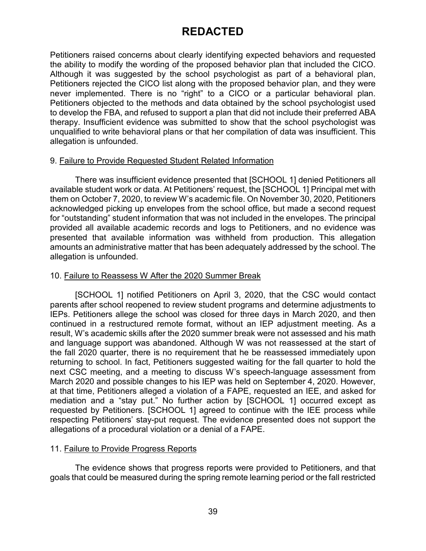Petitioners raised concerns about clearly identifying expected behaviors and requested the ability to modify the wording of the proposed behavior plan that included the CICO. Although it was suggested by the school psychologist as part of a behavioral plan, Petitioners rejected the CICO list along with the proposed behavior plan, and they were never implemented. There is no "right" to a CICO or a particular behavioral plan. Petitioners objected to the methods and data obtained by the school psychologist used to develop the FBA, and refused to support a plan that did not include their preferred ABA therapy. Insufficient evidence was submitted to show that the school psychologist was unqualified to write behavioral plans or that her compilation of data was insufficient. This allegation is unfounded.

### 9. Failure to Provide Requested Student Related Information

There was insufficient evidence presented that [SCHOOL 1] denied Petitioners all available student work or data. At Petitioners' request, the [SCHOOL 1] Principal met with them on October 7, 2020, to review W's academic file. On November 30, 2020, Petitioners acknowledged picking up envelopes from the school office, but made a second request for "outstanding" student information that was not included in the envelopes. The principal provided all available academic records and logs to Petitioners, and no evidence was presented that available information was withheld from production. This allegation amounts an administrative matter that has been adequately addressed by the school. The allegation is unfounded.

### 10. Failure to Reassess W After the 2020 Summer Break

[SCHOOL 1] notified Petitioners on April 3, 2020, that the CSC would contact parents after school reopened to review student programs and determine adjustments to IEPs. Petitioners allege the school was closed for three days in March 2020, and then continued in a restructured remote format, without an IEP adjustment meeting. As a result, W's academic skills after the 2020 summer break were not assessed and his math and language support was abandoned. Although W was not reassessed at the start of the fall 2020 quarter, there is no requirement that he be reassessed immediately upon returning to school. In fact, Petitioners suggested waiting for the fall quarter to hold the next CSC meeting, and a meeting to discuss W's speech-language assessment from March 2020 and possible changes to his IEP was held on September 4, 2020. However, at that time, Petitioners alleged a violation of a FAPE, requested an IEE, and asked for mediation and a "stay put." No further action by [SCHOOL 1] occurred except as requested by Petitioners. [SCHOOL 1] agreed to continue with the IEE process while respecting Petitioners' stay-put request. The evidence presented does not support the allegations of a procedural violation or a denial of a FAPE.

### 11. Failure to Provide Progress Reports

The evidence shows that progress reports were provided to Petitioners, and that goals that could be measured during the spring remote learning period or the fall restricted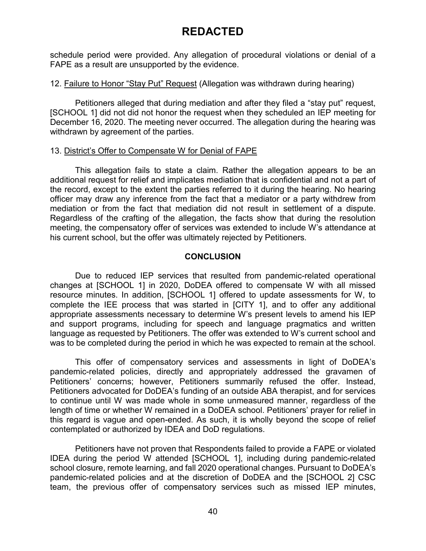schedule period were provided. Any allegation of procedural violations or denial of a FAPE as a result are unsupported by the evidence.

#### 12. Failure to Honor "Stay Put" Request (Allegation was withdrawn during hearing)

Petitioners alleged that during mediation and after they filed a "stay put" request, [SCHOOL 1] did not did not honor the request when they scheduled an IEP meeting for December 16, 2020. The meeting never occurred. The allegation during the hearing was withdrawn by agreement of the parties.

#### 13. District's Offer to Compensate W for Denial of FAPE

This allegation fails to state a claim. Rather the allegation appears to be an additional request for relief and implicates mediation that is confidential and not a part of the record, except to the extent the parties referred to it during the hearing. No hearing officer may draw any inference from the fact that a mediator or a party withdrew from mediation or from the fact that mediation did not result in settlement of a dispute. Regardless of the crafting of the allegation, the facts show that during the resolution meeting, the compensatory offer of services was extended to include W's attendance at his current school, but the offer was ultimately rejected by Petitioners.

### **CONCLUSION**

Due to reduced IEP services that resulted from pandemic-related operational changes at [SCHOOL 1] in 2020, DoDEA offered to compensate W with all missed resource minutes. In addition, [SCHOOL 1] offered to update assessments for W, to complete the IEE process that was started in [CITY 1], and to offer any additional appropriate assessments necessary to determine W's present levels to amend his IEP and support programs, including for speech and language pragmatics and written language as requested by Petitioners. The offer was extended to W's current school and was to be completed during the period in which he was expected to remain at the school.

This offer of compensatory services and assessments in light of DoDEA's pandemic-related policies, directly and appropriately addressed the gravamen of Petitioners' concerns; however, Petitioners summarily refused the offer. Instead, Petitioners advocated for DoDEA's funding of an outside ABA therapist, and for services to continue until W was made whole in some unmeasured manner, regardless of the length of time or whether W remained in a DoDEA school. Petitioners' prayer for relief in this regard is vague and open-ended. As such, it is wholly beyond the scope of relief contemplated or authorized by IDEA and DoD regulations.

Petitioners have not proven that Respondents failed to provide a FAPE or violated IDEA during the period W attended [SCHOOL 1], including during pandemic-related school closure, remote learning, and fall 2020 operational changes. Pursuant to DoDEA's pandemic-related policies and at the discretion of DoDEA and the [SCHOOL 2] CSC team, the previous offer of compensatory services such as missed IEP minutes,